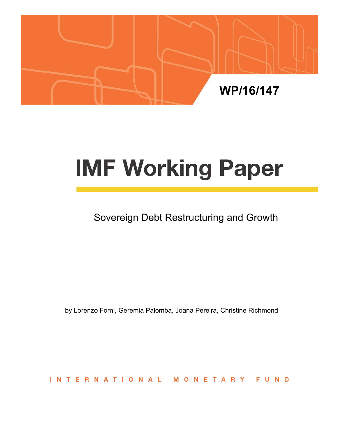

# **IMF Working Paper**

Sovereign Debt Restructuring and Growth

by Lorenzo Forni, Geremia Palomba, Joana Pereira, Christine Richmond

INTERNATIONAL FUND **NETA**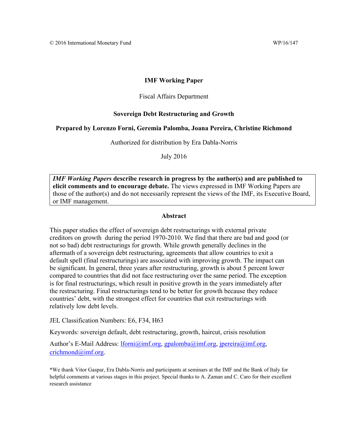#### **IMF Working Paper**

#### Fiscal Affairs Department

#### **Sovereign Debt Restructuring and Growth**

#### **Prepared by Lorenzo Forni, Geremia Palomba, Joana Pereira, Christine Richmond**

Authorized for distribution by Era Dabla-Norris

July 2016

*IMF Working Papers* **describe research in progress by the author(s) and are published to elicit comments and to encourage debate.** The views expressed in IMF Working Papers are those of the author(s) and do not necessarily represent the views of the IMF, its Executive Board, or IMF management.

#### **Abstract**

This paper studies the effect of sovereign debt restructurings with external private creditors on growth during the period 1970-2010. We find that there are bad and good (or not so bad) debt restructurings for growth. While growth generally declines in the aftermath of a sovereign debt restructuring, agreements that allow countries to exit a default spell (final restructurings) are associated with improving growth. The impact can be significant. In general, three years after restructuring, growth is about 5 percent lower compared to countries that did not face restructuring over the same period. The exception is for final restructurings, which result in positive growth in the years immediately after the restructuring. Final restructurings tend to be better for growth because they reduce countries' debt, with the strongest effect for countries that exit restructurings with relatively low debt levels.

JEL Classification Numbers: E6, F34, H63

Keywords: sovereign default, debt restructuring, growth, haircut, crisis resolution

Author's E-Mail Address: lforni@imf.org, gpalomba@imf.org, jpereira@imf.org, crichmond@imf.org.

\*We thank Vitor Gaspar, Era Dabla-Norris and participants at seminars at the IMF and the Bank of Italy for helpful comments at various stages in this project. Special thanks to A. Zaman and C. Caro for their excellent research assistance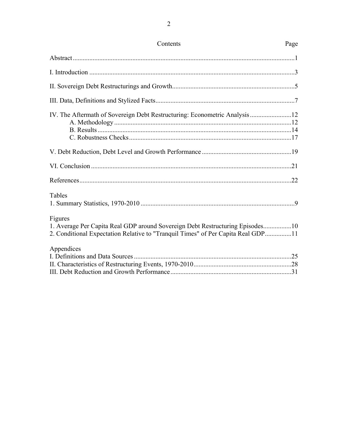| Contents                                                                                                                                                                     | Page |
|------------------------------------------------------------------------------------------------------------------------------------------------------------------------------|------|
|                                                                                                                                                                              |      |
|                                                                                                                                                                              |      |
|                                                                                                                                                                              |      |
|                                                                                                                                                                              |      |
| IV. The Aftermath of Sovereign Debt Restructuring: Econometric Analysis12                                                                                                    |      |
|                                                                                                                                                                              |      |
|                                                                                                                                                                              |      |
|                                                                                                                                                                              |      |
| Tables                                                                                                                                                                       |      |
| Figures<br>1. Average Per Capita Real GDP around Sovereign Debt Restructuring Episodes10<br>2. Conditional Expectation Relative to "Tranquil Times" of Per Capita Real GDP11 |      |
| Appendices                                                                                                                                                                   |      |
|                                                                                                                                                                              |      |
|                                                                                                                                                                              |      |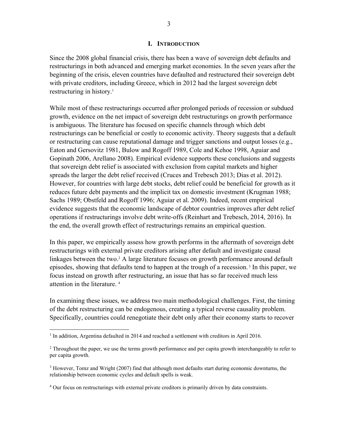#### **I. INTRODUCTION**

Since the 2008 global financial crisis, there has been a wave of sovereign debt defaults and restructurings in both advanced and emerging market economies. In the seven years after the beginning of the crisis, eleven countries have defaulted and restructured their sovereign debt with private creditors, including Greece, which in 2012 had the largest sovereign debt restructuring in history.<sup>1</sup>

While most of these restructurings occurred after prolonged periods of recession or subdued growth, evidence on the net impact of sovereign debt restructurings on growth performance is ambiguous. The literature has focused on specific channels through which debt restructurings can be beneficial or costly to economic activity. Theory suggests that a default or restructuring can cause reputational damage and trigger sanctions and output losses (e.g., Eaton and Gersovitz 1981, Bulow and Rogoff 1989, Cole and Kehoe 1998, Aguiar and Gopinath 2006, Arellano 2008). Empirical evidence supports these conclusions and suggests that sovereign debt relief is associated with exclusion from capital markets and higher spreads the larger the debt relief received (Cruces and Trebesch 2013; Dias et al. 2012). However, for countries with large debt stocks, debt relief could be beneficial for growth as it reduces future debt payments and the implicit tax on domestic investment (Krugman 1988; Sachs 1989; Obstfeld and Rogoff 1996; Aguiar et al. 2009). Indeed, recent empirical evidence suggests that the economic landscape of debtor countries improves after debt relief operations if restructurings involve debt write-offs (Reinhart and Trebesch, 2014, 2016). In the end, the overall growth effect of restructurings remains an empirical question.

In this paper, we empirically assess how growth performs in the aftermath of sovereign debt restructurings with external private creditors arising after default and investigate causal linkages between the two.<sup>2</sup> A large literature focuses on growth performance around default episodes, showing that defaults tend to happen at the trough of a recession. 3 In this paper, we focus instead on growth after restructuring, an issue that has so far received much less attention in the literature. 4

In examining these issues, we address two main methodological challenges. First, the timing of the debt restructuring can be endogenous, creating a typical reverse causality problem. Specifically, countries could renegotiate their debt only after their economy starts to recover

<sup>&</sup>lt;sup>1</sup> In addition, Argentina defaulted in 2014 and reached a settlement with creditors in April 2016.

<sup>&</sup>lt;sup>2</sup> Throughout the paper, we use the terms growth performance and per capita growth interchangeably to refer to per capita growth.

<sup>&</sup>lt;sup>3</sup> However, Tomz and Wright (2007) find that although most defaults start during economic downturns, the relationship between economic cycles and default spells is weak.

<sup>&</sup>lt;sup>4</sup> Our focus on restructurings with external private creditors is primarily driven by data constraints.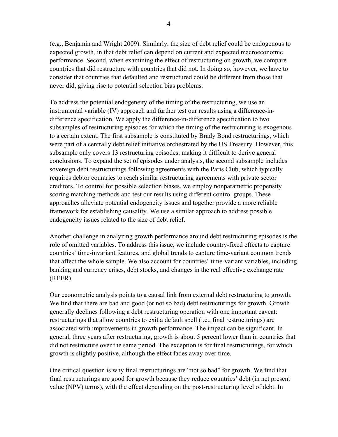(e.g., Benjamin and Wright 2009). Similarly, the size of debt relief could be endogenous to expected growth, in that debt relief can depend on current and expected macroeconomic performance. Second, when examining the effect of restructuring on growth, we compare countries that did restructure with countries that did not. In doing so, however, we have to consider that countries that defaulted and restructured could be different from those that never did, giving rise to potential selection bias problems.

To address the potential endogeneity of the timing of the restructuring, we use an instrumental variable (IV) approach and further test our results using a difference-indifference specification. We apply the difference-in-difference specification to two subsamples of restructuring episodes for which the timing of the restructuring is exogenous to a certain extent. The first subsample is constituted by Brady Bond restructurings, which were part of a centrally debt relief initiative orchestrated by the US Treasury. However, this subsample only covers 13 restructuring episodes, making it difficult to derive general conclusions. To expand the set of episodes under analysis, the second subsample includes sovereign debt restructurings following agreements with the Paris Club, which typically requires debtor countries to reach similar restructuring agreements with private sector creditors. To control for possible selection biases, we employ nonparametric propensity scoring matching methods and test our results using different control groups. These approaches alleviate potential endogeneity issues and together provide a more reliable framework for establishing causality. We use a similar approach to address possible endogeneity issues related to the size of debt relief.

Another challenge in analyzing growth performance around debt restructuring episodes is the role of omitted variables. To address this issue, we include country-fixed effects to capture countries' time-invariant features, and global trends to capture time-variant common trends that affect the whole sample. We also account for countries' time-variant variables, including banking and currency crises, debt stocks, and changes in the real effective exchange rate (REER).

Our econometric analysis points to a causal link from external debt restructuring to growth. We find that there are bad and good (or not so bad) debt restructurings for growth. Growth generally declines following a debt restructuring operation with one important caveat: restructurings that allow countries to exit a default spell (i.e., final restructurings) are associated with improvements in growth performance. The impact can be significant. In general, three years after restructuring, growth is about 5 percent lower than in countries that did not restructure over the same period. The exception is for final restructurings, for which growth is slightly positive, although the effect fades away over time.

One critical question is why final restructurings are "not so bad" for growth. We find that final restructurings are good for growth because they reduce countries' debt (in net present value (NPV) terms), with the effect depending on the post-restructuring level of debt. In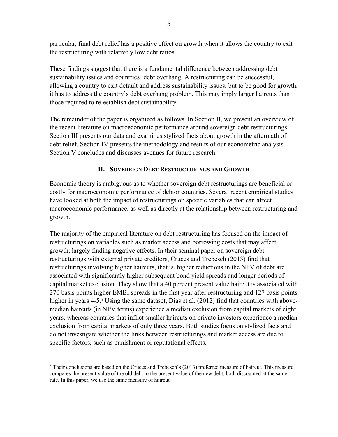particular, final debt relief has a positive effect on growth when it allows the country to exit the restructuring with relatively low debt ratios.

These findings suggest that there is a fundamental difference between addressing debt sustainability issues and countries' debt overhang. A restructuring can be successful, allowing a country to exit default and address sustainability issues, but to be good for growth, it has to address the country's debt overhang problem. This may imply larger haircuts than those required to re-establish debt sustainability.

The remainder of the paper is organized as follows. In Section II, we present an overview of the recent literature on macroeconomic performance around sovereign debt restructurings. Section III presents our data and examines stylized facts about growth in the aftermath of debt relief. Section IV presents the methodology and results of our econometric analysis. Section V concludes and discusses avenues for future research.

## **II. SOVEREIGN DEBT RESTRUCTURINGS AND GROWTH**

Economic theory is ambiguous as to whether sovereign debt restructurings are beneficial or costly for macroeconomic performance of debtor countries. Several recent empirical studies have looked at both the impact of restructurings on specific variables that can affect macroeconomic performance, as well as directly at the relationship between restructuring and growth.

The majority of the empirical literature on debt restructuring has focused on the impact of restructurings on variables such as market access and borrowing costs that may affect growth, largely finding negative effects. In their seminal paper on sovereign debt restructurings with external private creditors, Cruces and Trebesch (2013) find that restructurings involving higher haircuts, that is, higher reductions in the NPV of debt are associated with significantly higher subsequent bond yield spreads and longer periods of capital market exclusion. They show that a 40 percent present value haircut is associated with 270 basis points higher EMBI spreads in the first year after restructuring and 127 basis points higher in years 4-5.<sup>5</sup> Using the same dataset, Dias et al. (2012) find that countries with abovemedian haircuts (in NPV terms) experience a median exclusion from capital markets of eight years, whereas countries that inflict smaller haircuts on private investors experience a median exclusion from capital markets of only three years. Both studies focus on stylized facts and do not investigate whether the links between restructurings and market access are due to specific factors, such as punishment or reputational effects.

<u>.</u>

<sup>&</sup>lt;sup>5</sup> Their conclusions are based on the Cruces and Trebesch's (2013) preferred measure of haircut. This measure compares the present value of the old debt to the present value of the new debt, both discounted at the same rate. In this paper, we use the same measure of haircut.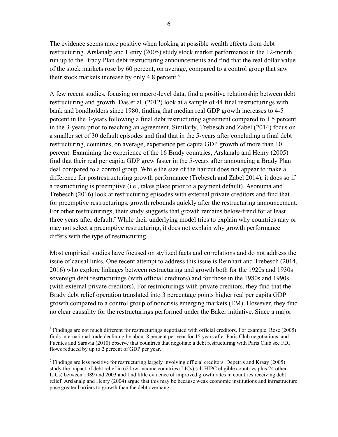The evidence seems more positive when looking at possible wealth effects from debt restructuring. Arslanalp and Henry (2005) study stock market performance in the 12-month run up to the Brady Plan debt restructuring announcements and find that the real dollar value of the stock markets rose by 60 percent, on average, compared to a control group that saw their stock markets increase by only 4.8 percent.<sup>6</sup>

A few recent studies, focusing on macro-level data, find a positive relationship between debt restructuring and growth. Das et al. (2012) look at a sample of 44 final restructurings with bank and bondholders since 1980, finding that median real GDP growth increases to 4-5 percent in the 3-years following a final debt restructuring agreement compared to 1.5 percent in the 3-years prior to reaching an agreement. Similarly, Trebesch and Zabel (2014) focus on a smaller set of 30 default episodes and find that in the 5-years after concluding a final debt restructuring, countries, on average, experience per capita GDP growth of more than 10 percent. Examining the experience of the 16 Brady countries, Arslanalp and Henry (2005) find that their real per capita GDP grew faster in the 5-years after announcing a Brady Plan deal compared to a control group. While the size of the haircut does not appear to make a difference for postrestructuring growth performance (Trebesch and Zabel 2014), it does so if a restructuring is preemptive (i.e., takes place prior to a payment default). Asonuma and Trebesch (2016) look at restructuring episodes with external private creditors and find that for preemptive restructurings, growth rebounds quickly after the restructuring announcement. For other restructurings, their study suggests that growth remains below-trend for at least three years after default.<sup>7</sup> While their underlying model tries to explain why countries may or may not select a preemptive restructuring, it does not explain why growth performance differs with the type of restructuring.

Most empirical studies have focused on stylized facts and correlations and do not address the issue of causal links. One recent attempt to address this issue is Reinhart and Trebesch (2014, 2016) who explore linkages between restructuring and growth both for the 1920s and 1930s sovereign debt restructurings (with official creditors) and for those in the 1980s and 1990s (with external private creditors). For restructurings with private creditors, they find that the Brady debt relief operation translated into 3 percentage points higher real per capita GDP growth compared to a control group of noncrisis emerging markets (EM). However, they find no clear causality for the restructurings performed under the Baker initiative. Since a major

<sup>6</sup> Findings are not much different for restructurings negotiated with official creditors. For example, Rose (2005) finds international trade declining by about 8 percent per year for 15 years after Paris Club negotiations, and Fuentes and Saravia (2010) observe that countries that negotiate a debt restructuring with Paris Club see FDI flows reduced by up to 2 percent of GDP per year.

<sup>7</sup> Findings are less positive for restructuring largely involving official creditors. Depetris and Kraay (2005) study the impact of debt relief in 62 low-income countries (LICs) (all HIPC eligible countries plus 24 other LICs) between 1989 and 2003 and find little evidence of improved growth rates in countries receiving debt relief. Arslanalp and Henry (2004) argue that this may be because weak economic institutions and infrastructure pose greater barriers to growth than the debt overhang.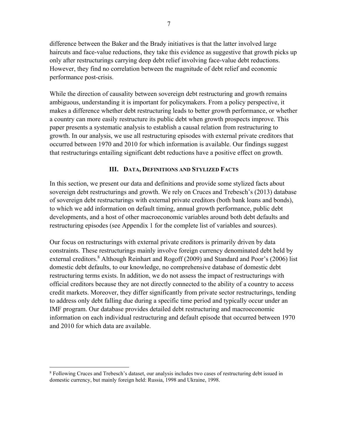difference between the Baker and the Brady initiatives is that the latter involved large haircuts and face-value reductions, they take this evidence as suggestive that growth picks up only after restructurings carrying deep debt relief involving face-value debt reductions. However, they find no correlation between the magnitude of debt relief and economic performance post-crisis.

While the direction of causality between sovereign debt restructuring and growth remains ambiguous, understanding it is important for policymakers. From a policy perspective, it makes a difference whether debt restructuring leads to better growth performance, or whether a country can more easily restructure its public debt when growth prospects improve. This paper presents a systematic analysis to establish a causal relation from restructuring to growth. In our analysis, we use all restructuring episodes with external private creditors that occurred between 1970 and 2010 for which information is available. Our findings suggest that restructurings entailing significant debt reductions have a positive effect on growth.

## **III. DATA, DEFINITIONS AND STYLIZED FACTS**

In this section, we present our data and definitions and provide some stylized facts about sovereign debt restructurings and growth. We rely on Cruces and Trebesch's (2013) database of sovereign debt restructurings with external private creditors (both bank loans and bonds), to which we add information on default timing, annual growth performance, public debt developments, and a host of other macroeconomic variables around both debt defaults and restructuring episodes (see Appendix 1 for the complete list of variables and sources).

Our focus on restructurings with external private creditors is primarily driven by data constraints. These restructurings mainly involve foreign currency denominated debt held by external creditors.<sup>8</sup> Although Reinhart and Rogoff (2009) and Standard and Poor's (2006) list domestic debt defaults, to our knowledge, no comprehensive database of domestic debt restructuring terms exists. In addition, we do not assess the impact of restructurings with official creditors because they are not directly connected to the ability of a country to access credit markets. Moreover, they differ significantly from private sector restructurings, tending to address only debt falling due during a specific time period and typically occur under an IMF program. Our database provides detailed debt restructuring and macroeconomic information on each individual restructuring and default episode that occurred between 1970 and 2010 for which data are available.

<sup>&</sup>lt;sup>8</sup> Following Cruces and Trebesch's dataset, our analysis includes two cases of restructuring debt issued in domestic currency, but mainly foreign held: Russia, 1998 and Ukraine, 1998.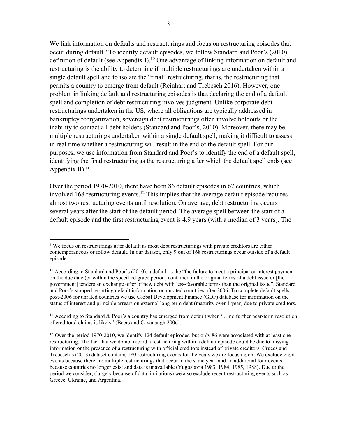We link information on defaults and restructurings and focus on restructuring episodes that occur during default.<sup>9</sup> To identify default episodes, we follow Standard and Poor's (2010) definition of default (see Appendix I).<sup>10</sup> One advantage of linking information on default and restructuring is the ability to determine if multiple restructurings are undertaken within a single default spell and to isolate the "final" restructuring, that is, the restructuring that permits a country to emerge from default (Reinhart and Trebesch 2016). However, one problem in linking default and restructuring episodes is that declaring the end of a default spell and completion of debt restructuring involves judgment. Unlike corporate debt restructurings undertaken in the US, where all obligations are typically addressed in bankruptcy reorganization, sovereign debt restructurings often involve holdouts or the inability to contact all debt holders (Standard and Poor's, 2010). Moreover, there may be multiple restructurings undertaken within a single default spell, making it difficult to assess in real time whether a restructuring will result in the end of the default spell. For our purposes, we use information from Standard and Poor's to identify the end of a default spell, identifying the final restructuring as the restructuring after which the default spell ends (see Appendix  $II$ ).<sup>11</sup>

Over the period 1970-2010, there have been 86 default episodes in 67 countries, which involved 168 restructuring events.<sup>12</sup> This implies that the average default episode requires almost two restructuring events until resolution. On average, debt restructuring occurs several years after the start of the default period. The average spell between the start of a default episode and the first restructuring event is 4.9 years (with a median of 3 years). The

 $\overline{a}$ 

<sup>11</sup> According to Standard & Poor's a country has emerged from default when "... no further near-term resolution of creditors' claims is likely" (Beers and Cavanaugh 2006).

<sup>&</sup>lt;sup>9</sup> We focus on restructurings after default as most debt restructurings with private creditors are either contemporaneous or follow default. In our dataset, only 9 out of 168 restructurings occur outside of a default episode.

 $10$  According to Standard and Poor's (2010), a default is the "the failure to meet a principal or interest payment on the due date (or within the specified grace period) contained in the original terms of a debt issue or [the government] tenders an exchange offer of new debt with less-favorable terms than the original issue". Standard and Poor's stopped reporting default information on unrated countries after 2006. To complete default spells post-2006 for unrated countries we use Global Development Finance (GDF) database for information on the status of interest and principle arrears on external long-term debt (maturity over 1 year) due to private creditors.

<sup>&</sup>lt;sup>12</sup> Over the period 1970-2010, we identify 124 default episodes, but only 86 were associated with at least one restructuring. The fact that we do not record a restructuring within a default episode could be due to missing information or the presence of a restructuring with official creditors instead of private creditors. Cruces and Trebesch's (2013) dataset contains 180 restructuring events for the years we are focusing on. We exclude eight events because there are multiple restructurings that occur in the same year, and an additional four events because countries no longer exist and data is unavailable (Yugoslavia 1983, 1984, 1985, 1988). Due to the period we consider, (largely because of data limitations) we also exclude recent restructuring events such as Greece, Ukraine, and Argentina.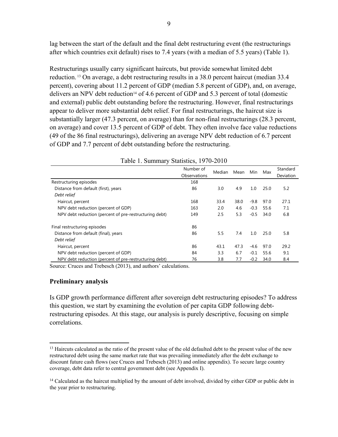lag between the start of the default and the final debt restructuring event (the restructurings after which countries exit default) rises to 7.4 years (with a median of 5.5 years) (Table 1).

Restructurings usually carry significant haircuts, but provide somewhat limited debt reduction. 13 On average, a debt restructuring results in a 38.0 percent haircut (median 33.4 percent), covering about 11.2 percent of GDP (median 5.8 percent of GDP), and, on average, delivers an NPV debt reduction<sup>14</sup> of 4.6 percent of GDP and 5.3 percent of total (domestic and external) public debt outstanding before the restructuring. However, final restructurings appear to deliver more substantial debt relief. For final restructurings, the haircut size is substantially larger (47.3 percent, on average) than for non-final restructurings (28.3 percent, on average) and cover 13.5 percent of GDP of debt. They often involve face value reductions (49 of the 86 final restructurings), delivering an average NPV debt reduction of 6.7 percent of GDP and 7.7 percent of debt outstanding before the restructuring.

| Table 1. Summary Statistics, 1970-2010                 |                           |        |      |        |      |                              |  |
|--------------------------------------------------------|---------------------------|--------|------|--------|------|------------------------------|--|
|                                                        | Number of<br>Observations | Median | Mean | Min    | Max  | Standard<br><b>Deviation</b> |  |
| Restructuring episodes                                 | 168                       |        |      |        |      |                              |  |
| Distance from default (first), years                   | 86                        | 3.0    | 4.9  | 1.0    | 25.0 | 5.2                          |  |
| Debt relief                                            |                           |        |      |        |      |                              |  |
| Haircut, percent                                       | 168                       | 33.4   | 38.0 | $-9.8$ | 97.0 | 27.1                         |  |
| NPV debt reduction (percent of GDP)                    | 163                       | 2.0    | 4.6  | $-0.3$ | 55.6 | 7.1                          |  |
| NPV debt reduction (percent of pre-restructuring debt) | 149                       | 2.5    | 5.3  | $-0.5$ | 34.0 | 6.8                          |  |
| Final restructuring episodes                           | 86                        |        |      |        |      |                              |  |
| Distance from default (final), years                   | 86                        | 5.5    | 7.4  | 1.0    | 25.0 | 5.8                          |  |
| Debt relief                                            |                           |        |      |        |      |                              |  |
| Haircut, percent                                       | 86                        | 43.1   | 47.3 | -4.6   | 97.0 | 29.2                         |  |
| NPV debt reduction (percent of GDP)                    | 84                        | 3.3    | 6.7  | $-0.1$ | 55.6 | 9.1                          |  |
| NPV debt reduction (percent of pre-restructuring debt) | 76                        | 3.8    | 7.7  | $-0.2$ | 34.0 | 8.4                          |  |

Table 1. Summary Statistics, 1970-2010

Source: Cruces and Trebesch (2013), and authors' calculations.

#### **Preliminary analysis**

 $\overline{a}$ 

Is GDP growth performance different after sovereign debt restructuring episodes? To address this question, we start by examining the evolution of per capita GDP following debtrestructuring episodes. At this stage, our analysis is purely descriptive, focusing on simple correlations.

<sup>&</sup>lt;sup>13</sup> Haircuts calculated as the ratio of the present value of the old defaulted debt to the present value of the new restructured debt using the same market rate that was prevailing immediately after the debt exchange to discount future cash flows (see Cruces and Trebesch (2013) and online appendix). To secure large country coverage, debt data refer to central government debt (see Appendix I).

<sup>&</sup>lt;sup>14</sup> Calculated as the haircut multiplied by the amount of debt involved, divided by either GDP or public debt in the year prior to restructuring.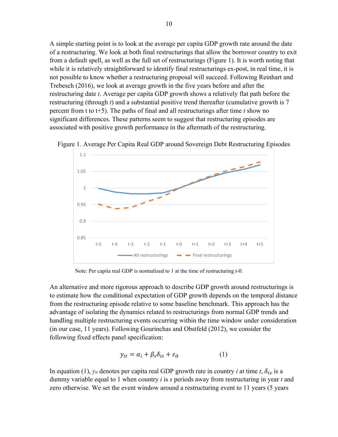A simple starting point is to look at the average per capita GDP growth rate around the date of a restructuring. We look at both final restructurings that allow the borrower country to exit from a default spell, as well as the full set of restructurings (Figure 1). It is worth noting that while it is relatively straightforward to identify final restructurings ex-post, in real time, it is not possible to know whether a restructuring proposal will succeed. Following Reinhart and Trebesch (2016), we look at average growth in the five years before and after the restructuring date *t*. Average per capita GDP growth shows a relatively flat path before the restructuring (through *t*) and a substantial positive trend thereafter (cumulative growth is 7 percent from t to t+5). The paths of final and all restructurings after time *t* show no significant differences. These patterns seem to suggest that restructuring episodes are associated with positive growth performance in the aftermath of the restructuring.



Figure 1. Average Per Capita Real GDP around Sovereign Debt Restructuring Episodes

Note: Per capita real GDP is normalized to 1 at the time of restructuring t-0.

An alternative and more rigorous approach to describe GDP growth around restructurings is to estimate how the conditional expectation of GDP growth depends on the temporal distance from the restructuring episode relative to some baseline benchmark. This approach has the advantage of isolating the dynamics related to restructurings from normal GDP trends and handling multiple restructuring events occurring within the time window under consideration (in our case, 11 years). Following Gourinchas and Obstfeld (2012), we consider the following fixed effects panel specification:

$$
y_{it} = \alpha_i + \beta_s \delta_{is} + \varepsilon_{it} \tag{1}
$$

In equation (1),  $y_{it}$  denotes per capita real GDP growth rate in country *i* at time *t*,  $\delta_{is}$  is a dummy variable equal to 1 when country *i* is *s* periods away from restructuring in year *t* and zero otherwise. We set the event window around a restructuring event to 11 years (5 years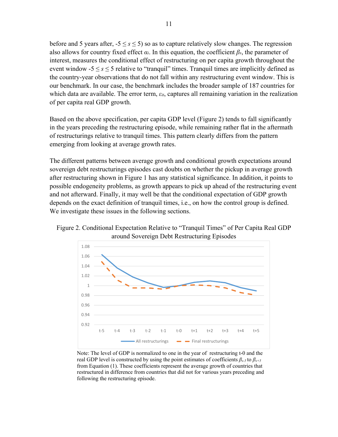before and 5 years after,  $-5 \le s \le 5$ ) so as to capture relatively slow changes. The regression also allows for country fixed effect  $\alpha_i$ . In this equation, the coefficient  $\beta_s$ , the parameter of interest, measures the conditional effect of restructuring on per capita growth throughout the event window  $-5 \le s \le 5$  relative to "tranquil" times. Tranquil times are implicitly defined as the country-year observations that do not fall within any restructuring event window. This is our benchmark. In our case, the benchmark includes the broader sample of 187 countries for which data are available. The error term, *εit*, captures all remaining variation in the realization of per capita real GDP growth.

Based on the above specification, per capita GDP level (Figure 2) tends to fall significantly in the years preceding the restructuring episode, while remaining rather flat in the aftermath of restructurings relative to tranquil times. This pattern clearly differs from the pattern emerging from looking at average growth rates.

The different patterns between average growth and conditional growth expectations around sovereign debt restructurings episodes cast doubts on whether the pickup in average growth after restructuring shown in Figure 1 has any statistical significance. In addition, it points to possible endogeneity problems, as growth appears to pick up ahead of the restructuring event and not afterward. Finally, it may well be that the conditional expectation of GDP growth depends on the exact definition of tranquil times, i.e., on how the control group is defined. We investigate these issues in the following sections.



Figure 2. Conditional Expectation Relative to "Tranquil Times" of Per Capita Real GDP around Sovereign Debt Restructuring Episodes

Note: The level of GDP is normalized to one in the year of restructuring t-0 and the real GDP level is constructed by using the point estimates of coefficients  $\beta_{s-5}$  to  $\beta_{s+5}$ from Equation (1). These coefficients represent the average growth of countries that restructured in difference from countries that did not for various years preceding and following the restructuring episode.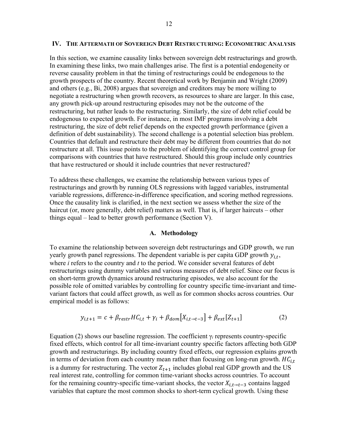#### **IV. THE AFTERMATH OF SOVEREIGN DEBT RESTRUCTURING: ECONOMETRIC ANALYSIS**

In this section, we examine causality links between sovereign debt restructurings and growth. In examining these links, two main challenges arise. The first is a potential endogeneity or reverse causality problem in that the timing of restructurings could be endogenous to the growth prospects of the country. Recent theoretical work by Benjamin and Wright (2009) and others (e.g., Bi, 2008) argues that sovereign and creditors may be more willing to negotiate a restructuring when growth recovers, as resources to share are larger. In this case, any growth pick-up around restructuring episodes may not be the outcome of the restructuring, but rather leads to the restructuring. Similarly, the size of debt relief could be endogenous to expected growth. For instance, in most IMF programs involving a debt restructuring, the size of debt relief depends on the expected growth performance (given a definition of debt sustainability). The second challenge is a potential selection bias problem. Countries that default and restructure their debt may be different from countries that do not restructure at all. This issue points to the problem of identifying the correct control group for comparisons with countries that have restructured. Should this group include only countries that have restructured or should it include countries that never restructured?

To address these challenges, we examine the relationship between various types of restructurings and growth by running OLS regressions with lagged variables, instrumental variable regressions, difference-in-difference specification, and scoring method regressions. Once the causality link is clarified, in the next section we assess whether the size of the haircut (or, more generally, debt relief) matters as well. That is, if larger haircuts – other things equal – lead to better growth performance (Section V).

#### **A. Methodology**

To examine the relationship between sovereign debt restructurings and GDP growth, we run yearly growth panel regressions. The dependent variable is per capita GDP growth  $y_{i,t}$ , where *i* refers to the country and *t* to the period. We consider several features of debt restructurings using dummy variables and various measures of debt relief. Since our focus is on short-term growth dynamics around restructuring episodes, we also account for the possible role of omitted variables by controlling for country specific time-invariant and timevariant factors that could affect growth, as well as for common shocks across countries. Our empirical model is as follows:

$$
y_{i,t+1} = c + \beta_{restr} H C_{i,t} + \gamma_i + \beta_{dom} [X_{i,t \to t-3}] + \beta_{ext} [Z_{t+1}]
$$
 (2)

Equation (2) shows our baseline regression. The coefficient  $\gamma_i$  represents country-specific fixed effects, which control for all time-invariant country specific factors affecting both GDP growth and restructurings. By including country fixed effects, our regression explains growth in terms of deviation from each country mean rather than focusing on long-run growth.  $HC_{i,t}$ is a dummy for restructuring. The vector  $Z_{t+1}$  includes global real GDP growth and the US real interest rate, controlling for common time-variant shocks across countries. To account for the remaining country-specific time-variant shocks, the vector  $X_{i,t\rightarrow t-3}$  contains lagged variables that capture the most common shocks to short-term cyclical growth. Using these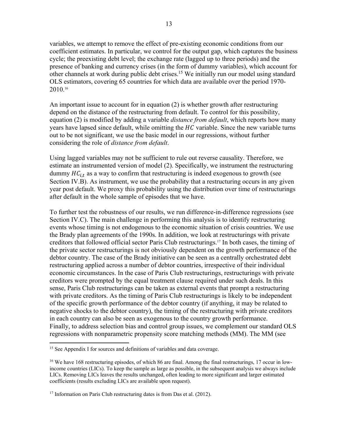variables, we attempt to remove the effect of pre-existing economic conditions from our coefficient estimates. In particular, we control for the output gap, which captures the business cycle; the preexisting debt level; the exchange rate (lagged up to three periods) and the presence of banking and currency crises (in the form of dummy variables), which account for other channels at work during public debt crises.<sup>15</sup> We initially run our model using standard OLS estimators, covering 65 countries for which data are available over the period 1970- 2010.16

An important issue to account for in equation (2) is whether growth after restructuring depend on the distance of the restructuring from default. To control for this possibility, equation (2) is modified by adding a variable *distance from default*, which reports how many years have lapsed since default, while omitting the  $HC$  variable. Since the new variable turns out to be not significant, we use the basic model in our regressions, without further considering the role of *distance from default*.

Using lagged variables may not be sufficient to rule out reverse causality. Therefore, we estimate an instrumented version of model (2). Specifically, we instrument the restructuring dummy  $HC_{i,t}$  as a way to confirm that restructuring is indeed exogenous to growth (see Section IV.B). As instrument, we use the probability that a restructuring occurs in any given year post default. We proxy this probability using the distribution over time of restructurings after default in the whole sample of episodes that we have.

To further test the robustness of our results, we run difference-in-difference regressions (see Section IV.C). The main challenge in performing this analysis is to identify restructuring events whose timing is not endogenous to the economic situation of crisis countries. We use the Brady plan agreements of the 1990s. In addition, we look at restructurings with private creditors that followed official sector Paris Club restructurings.17 In both cases, the timing of the private sector restructurings is not obviously dependent on the growth performance of the debtor country. The case of the Brady initiative can be seen as a centrally orchestrated debt restructuring applied across a number of debtor countries, irrespective of their individual economic circumstances. In the case of Paris Club restructurings, restructurings with private creditors were prompted by the equal treatment clause required under such deals. In this sense, Paris Club restructurings can be taken as external events that prompt a restructuring with private creditors. As the timing of Paris Club restructurings is likely to be independent of the specific growth performance of the debtor country (if anything, it may be related to negative shocks to the debtor country), the timing of the restructuring with private creditors in each country can also be seen as exogenous to the country growth performance. Finally, to address selection bias and control group issues, we complement our standard OLS regressions with nonparametric propensity score matching methods (MM). The MM (see

<sup>&</sup>lt;sup>15</sup> See Appendix I for sources and definitions of variables and data coverage.

<sup>16</sup> We have 168 restructuring episodes, of which 86 are final. Among the final restructurings, 17 occur in lowincome countries (LICs). To keep the sample as large as possible, in the subsequent analysis we always include LICs. Removing LICs leaves the results unchanged, often leading to more significant and larger estimated coefficients (results excluding LICs are available upon request).

 $17$  Information on Paris Club restructuring dates is from Das et al. (2012).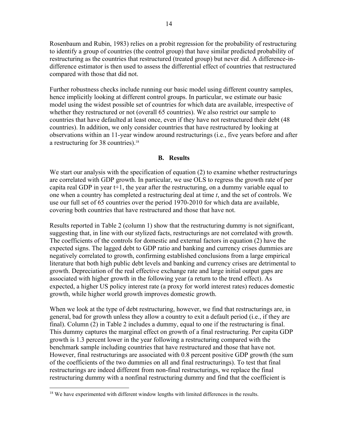Rosenbaum and Rubin, 1983) relies on a probit regression for the probability of restructuring to identify a group of countries (the control group) that have similar predicted probability of restructuring as the countries that restructured (treated group) but never did. A difference-indifference estimator is then used to assess the differential effect of countries that restructured compared with those that did not.

Further robustness checks include running our basic model using different country samples, hence implicitly looking at different control groups. In particular, we estimate our basic model using the widest possible set of countries for which data are available, irrespective of whether they restructured or not (overall 65 countries). We also restrict our sample to countries that have defaulted at least once, even if they have not restructured their debt (48 countries). In addition, we only consider countries that have restructured by looking at observations within an 11-year window around restructurings (i.e., five years before and after a restructuring for 38 countries).18

#### **B. Results**

We start our analysis with the specification of equation (2) to examine whether restructurings are correlated with GDP growth. In particular, we use OLS to regress the growth rate of per capita real GDP in year t+1, the year after the restructuring, on a dummy variable equal to one when a country has completed a restructuring deal at time *t*, and the set of controls. We use our full set of 65 countries over the period 1970-2010 for which data are available, covering both countries that have restructured and those that have not.

Results reported in Table 2 (column 1) show that the restructuring dummy is not significant, suggesting that, in line with our stylized facts, restructurings are not correlated with growth. The coefficients of the controls for domestic and external factors in equation (2) have the expected signs. The lagged debt to GDP ratio and banking and currency crises dummies are negatively correlated to growth, confirming established conclusions from a large empirical literature that both high public debt levels and banking and currency crises are detrimental to growth. Depreciation of the real effective exchange rate and large initial output gaps are associated with higher growth in the following year (a return to the trend effect). As expected, a higher US policy interest rate (a proxy for world interest rates) reduces domestic growth, while higher world growth improves domestic growth.

When we look at the type of debt restructuring, however, we find that restructurings are, in general, bad for growth unless they allow a country to exit a default period (i.e., if they are final). Column (2) in Table 2 includes a dummy, equal to one if the restructuring is final. This dummy captures the marginal effect on growth of a final restructuring. Per capita GDP growth is 1.3 percent lower in the year following a restructuring compared with the benchmark sample including countries that have restructured and those that have not. However, final restructurings are associated with 0.8 percent positive GDP growth (the sum of the coefficients of the two dummies on all and final restructurings). To test that final restructurings are indeed different from non-final restructurings, we replace the final restructuring dummy with a nonfinal restructuring dummy and find that the coefficient is

<sup>&</sup>lt;sup>18</sup> We have experimented with different window lengths with limited differences in the results.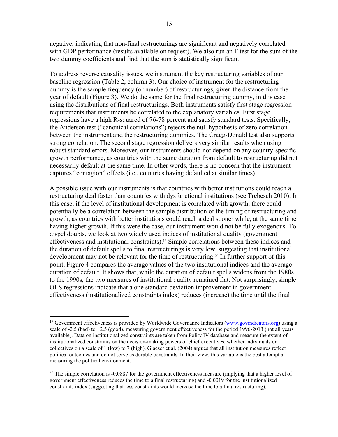negative, indicating that non-final restructurings are significant and negatively correlated with GDP performance (results available on request). We also run an F test for the sum of the two dummy coefficients and find that the sum is statistically significant.

To address reverse causality issues, we instrument the key restructuring variables of our baseline regression (Table 2, column 3). Our choice of instrument for the restructuring dummy is the sample frequency (or number) of restructurings, given the distance from the year of default (Figure 3). We do the same for the final restructuring dummy, in this case using the distributions of final restructurings. Both instruments satisfy first stage regression requirements that instruments be correlated to the explanatory variables. First stage regressions have a high R-squared of 76-78 percent and satisfy standard tests. Specifically, the Anderson test ("canonical correlations") rejects the null hypothesis of zero correlation between the instrument and the restructuring dummies. The Cragg-Donald test also supports strong correlation. The second stage regression delivers very similar results when using robust standard errors. Moreover, our instruments should not depend on any country-specific growth performance, as countries with the same duration from default to restructuring did not necessarily default at the same time. In other words, there is no concern that the instrument captures "contagion" effects (i.e., countries having defaulted at similar times).

A possible issue with our instruments is that countries with better institutions could reach a restructuring deal faster than countries with dysfunctional institutions (see Trebesch 2010). In this case, if the level of institutional development is correlated with growth, there could potentially be a correlation between the sample distribution of the timing of restructuring and growth, as countries with better institutions could reach a deal sooner while, at the same time, having higher growth. If this were the case, our instrument would not be fully exogenous. To dispel doubts, we look at two widely used indices of institutional quality (government effectiveness and institutional constraints).19 Simple correlations between these indices and the duration of default spells to final restructurings is very low, suggesting that institutional development may not be relevant for the time of restructuring.<sup>20</sup> In further support of this point, Figure 4 compares the average values of the two institutional indices and the average duration of default. It shows that, while the duration of default spells widens from the 1980s to the 1990s, the two measures of institutional quality remained flat. Not surprisingly, simple OLS regressions indicate that a one standard deviation improvement in government effectiveness (institutionalized constraints index) reduces (increase) the time until the final

<sup>&</sup>lt;sup>19</sup> Government effectiveness is provided by Worldwide Governance Indicators (www.govindicators.org) using a scale of -2.5 (bad) to +2.5 (good), measuring government effectiveness for the period 1996-2013 (not all years available). Data on institutionalized constraints are taken from Polity IV database and measure the extent of institutionalized constraints on the decision-making powers of chief executives, whether individuals or collectives on a scale of 1 (low) to 7 (high). Glaeser et al. (2004) argues that all institution measures reflect political outcomes and do not serve as durable constraints. In their view, this variable is the best attempt at measuring the political environment.

<sup>&</sup>lt;sup>20</sup> The simple correlation is -0.0887 for the government effectiveness measure (implying that a higher level of government effectiveness reduces the time to a final restructuring) and -0.0019 for the institutionalized constraints index (suggesting that less constraints would increase the time to a final restructuring).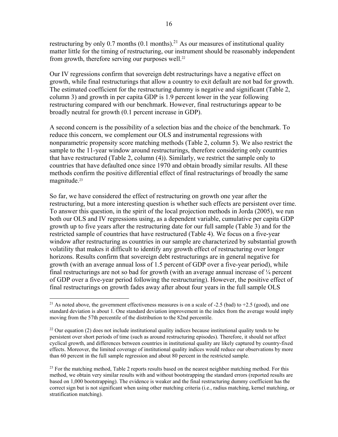restructuring by only 0.7 months  $(0.1 \text{ months})$ .<sup>21</sup> As our measures of institutional quality matter little for the timing of restructuring, our instrument should be reasonably independent from growth, therefore serving our purposes well.22

Our IV regressions confirm that sovereign debt restructurings have a negative effect on growth, while final restructurings that allow a country to exit default are not bad for growth. The estimated coefficient for the restructuring dummy is negative and significant (Table 2, column 3) and growth in per capita GDP is 1.9 percent lower in the year following restructuring compared with our benchmark. However, final restructurings appear to be broadly neutral for growth (0.1 percent increase in GDP).

A second concern is the possibility of a selection bias and the choice of the benchmark. To reduce this concern, we complement our OLS and instrumental regressions with nonparametric propensity score matching methods (Table 2, column 5). We also restrict the sample to the 11-year window around restructurings, therefore considering only countries that have restructured (Table 2, column (4)). Similarly, we restrict the sample only to countries that have defaulted once since 1970 and obtain broadly similar results. All these methods confirm the positive differential effect of final restructurings of broadly the same magnitude.<sup>23</sup>

So far, we have considered the effect of restructuring on growth one year after the restructuring, but a more interesting question is whether such effects are persistent over time. To answer this question, in the spirit of the local projection methods in Jorda (2005), we run both our OLS and IV regressions using, as a dependent variable, cumulative per capita GDP growth up to five years after the restructuring date for our full sample (Table 3) and for the restricted sample of countries that have restructured (Table 4). We focus on a five-year window after restructuring as countries in our sample are characterized by substantial growth volatility that makes it difficult to identify any growth effect of restructuring over longer horizons. Results confirm that sovereign debt restructurings are in general negative for growth (with an average annual loss of 1.5 percent of GDP over a five-year period), while final restructurings are not so bad for growth (with an average annual increase of  $\frac{1}{4}$  percent of GDP over a five-year period following the restructuring). However, the positive effect of final restructurings on growth fades away after about four years in the full sample OLS

<sup>1</sup> <sup>21</sup> As noted above, the government effectiveness measures is on a scale of -2.5 (bad) to +2.5 (good), and one standard deviation is about 1. One standard deviation improvement in the index from the average would imply moving from the 57th percentile of the distribution to the 82nd percentile.

<sup>&</sup>lt;sup>22</sup> Our equation (2) does not include institutional quality indices because institutional quality tends to be persistent over short periods of time (such as around restructuring episodes). Therefore, it should not affect cyclical growth, and differences between countries in institutional quality are likely captured by country-fixed effects. Moreover, the limited coverage of institutional quality indices would reduce our observations by more than 60 percent in the full sample regression and about 80 percent in the restricted sample.

<sup>&</sup>lt;sup>23</sup> For the matching method, Table 2 reports results based on the nearest neighbor matching method. For this method, we obtain very similar results with and without bootstrapping the standard errors (reported results are based on 1,000 bootstrapping). The evidence is weaker and the final restructuring dummy coefficient has the correct sign but is not significant when using other matching criteria (i.e., radius matching, kernel matching, or stratification matching).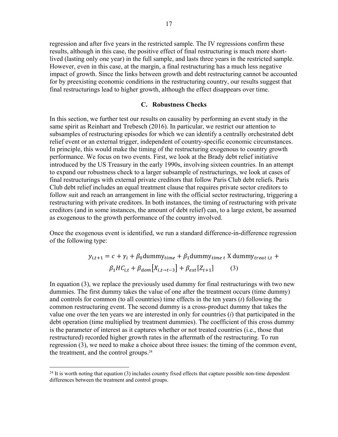regression and after five years in the restricted sample. The IV regressions confirm these results, although in this case, the positive effect of final restructuring is much more shortlived (lasting only one year) in the full sample, and lasts three years in the restricted sample. However, even in this case, at the margin, a final restructuring has a much less negative impact of growth. Since the links between growth and debt restructuring cannot be accounted for by preexisting economic conditions in the restructuring country, our results suggest that final restructurings lead to higher growth, although the effect disappears over time.

#### **C. Robustness Checks**

In this section, we further test our results on causality by performing an event study in the same spirit as Reinhart and Trebesch (2016). In particular, we restrict our attention to subsamples of restructuring episodes for which we can identify a centrally orchestrated debt relief event or an external trigger, independent of country-specific economic circumstances. In principle, this would make the timing of the restructuring exogenous to country growth performance. We focus on two events. First, we look at the Brady debt relief initiative introduced by the US Treasury in the early 1990s, involving sixteen countries. In an attempt to expand our robustness check to a larger subsample of restructurings, we look at cases of final restructurings with external private creditors that follow Paris Club debt reliefs. Paris Club debt relief includes an equal treatment clause that requires private sector creditors to follow suit and reach an arrangement in line with the official sector restructuring, triggering a restructuring with private creditors. In both instances, the timing of restructuring with private creditors (and in some instances, the amount of debt relief) can, to a large extent, be assumed as exogenous to the growth performance of the country involved.

Once the exogenous event is identified, we run a standard difference-in-difference regression of the following type:

$$
y_{i,t+1} = c + \gamma_i + \beta_0 \text{dummy}_{time} + \beta_1 \text{dummy}_{time} \, t \, \text{X} \, \text{dummy}_{treat \, i,t} + \beta_1 H C_{i,t} + \beta_{dom} [X_{i,t \to t-3}] + \beta_{ext} [Z_{t+1}] \tag{3}
$$

In equation (3), we replace the previously used dummy for final restructurings with two new dummies. The first dummy takes the value of one after the treatment occurs (time dummy) and controls for common (to all countries) time effects in the ten years (*t*) following the common restructuring event. The second dummy is a cross-product dummy that takes the value one over the ten years we are interested in only for countries (*i*) that participated in the debt operation (time multiplied by treatment dummies). The coefficient of this cross dummy is the parameter of interest as it captures whether or not treated countries (i.e., those that restructured) recorded higher growth rates in the aftermath of the restructuring. To run regression (3), we need to make a choice about three issues: the timing of the common event, the treatment, and the control groups.24

 $24$  It is worth noting that equation (3) includes country fixed effects that capture possible non-time dependent differences between the treatment and control groups.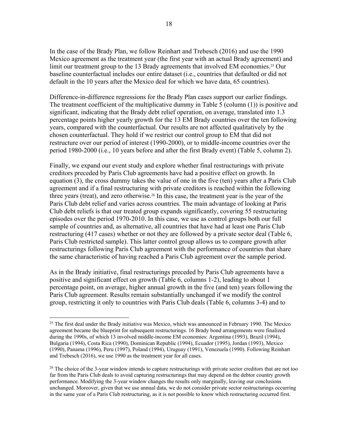In the case of the Brady Plan, we follow Reinhart and Trebesch (2016) and use the 1990 Mexico agreement as the treatment year (the first year with an actual Brady agreement) and limit our treatment group to the 13 Brady agreements that involved EM economies.<sup>25</sup> Our baseline counterfactual includes our entire dataset (i.e., countries that defaulted or did not default in the 10 years after the Mexico deal for which we have data, 65 countries).

Difference-in-difference regressions for the Brady Plan cases support our earlier findings. The treatment coefficient of the multiplicative dummy in Table 5 (column (1)) is positive and significant, indicating that the Brady debt relief operation, on average, translated into 1.3 percentage points higher yearly growth for the 13 EM Brady countries over the ten following years, compared with the counterfactual. Our results are not affected qualitatively by the chosen counterfactual. They hold if we restrict our control group to EM that did not restructure over our period of interest (1990-2000), or to middle-income countries over the period 1980-2000 (i.e., 10 years before and after the first Brady event) (Table 5, column 2).

Finally, we expand our event study and explore whether final restructurings with private creditors preceded by Paris Club agreements have had a positive effect on growth. In equation (3), the cross dummy takes the value of one in the five (ten) years after a Paris Club agreement and if a final restructuring with private creditors is reached within the following three years (treat), and zero otherwise.26 In this case, the treatment year is the year of the Paris Club debt relief and varies across countries. The main advantage of looking at Paris Club debt reliefs is that our treated group expands significantly, covering 55 restructuring episodes over the period 1970-2010. In this case, we use as control groups both our full sample of countries and, as alternative, all countries that have had at least one Paris Club restructuring (417 cases) whether or not they are followed by a private sector deal (Table 6, Paris Club restricted sample). This latter control group allows us to compare growth after restructurings following Paris Club agreement with the performance of countries that share the same characteristic of having reached a Paris Club agreement over the sample period.

As in the Brady initiative, final restructurings preceded by Paris Club agreements have a positive and significant effect on growth (Table 6, columns 1-2), leading to about 1 percentage point, on average, higher annual growth in the five (and ten) years following the Paris Club agreement. Results remain substantially unchanged if we modify the control group, restricting it only to countries with Paris Club deals (Table 6, columns 3-4) and to

1

<sup>&</sup>lt;sup>25</sup> The first deal under the Brady initiative was Mexico, which was announced in February 1990. The Mexico agreement became the blueprint for subsequent restructurings. 16 Brady bond arrangements were finalized during the 1990s, of which 13 involved middle-income EM economies: Argentina (1993), Brazil (1994), Bulgaria (1994), Costa Rica (1990), Dominican Republic (1994), Ecuador (1995), Jordan (1993), Mexico (1990), Panama (1996), Peru (1997), Poland (1994), Uruguay (1991), Venezuela (1990). Following Reinhart and Trebesch (2016), we use 1990 as the treatment year for all cases.

<sup>&</sup>lt;sup>26</sup> The choice of the 3-year window intends to capture restructurings with private sector creditors that are not too far from the Paris Club deals to avoid capturing restructurings that may depend on the debtor country growth performance. Modifying the 3-year window changes the results only marginally, leaving our conclusions unchanged. Moreover, given that we use annual data, we do not consider private sector restructurings occurring in the same year of a Paris Club restructuring, as it is not possible to know which restructuring occurred first.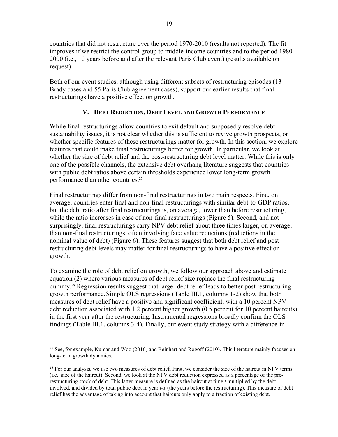countries that did not restructure over the period 1970-2010 (results not reported). The fit improves if we restrict the control group to middle-income countries and to the period 1980- 2000 (i.e., 10 years before and after the relevant Paris Club event) (results available on request).

Both of our event studies, although using different subsets of restructuring episodes (13 Brady cases and 55 Paris Club agreement cases), support our earlier results that final restructurings have a positive effect on growth.

## **V. DEBT REDUCTION, DEBT LEVEL AND GROWTH PERFORMANCE**

While final restructurings allow countries to exit default and supposedly resolve debt sustainability issues, it is not clear whether this is sufficient to revive growth prospects, or whether specific features of these restructurings matter for growth. In this section, we explore features that could make final restructurings better for growth. In particular, we look at whether the size of debt relief and the post-restructuring debt level matter. While this is only one of the possible channels, the extensive debt overhang literature suggests that countries with public debt ratios above certain thresholds experience lower long-term growth performance than other countries.27

Final restructurings differ from non-final restructurings in two main respects. First, on average, countries enter final and non-final restructurings with similar debt-to-GDP ratios, but the debt ratio after final restructurings is, on average, lower than before restructuring, while the ratio increases in case of non-final restructurings (Figure 5). Second, and not surprisingly, final restructurings carry NPV debt relief about three times larger, on average, than non-final restructurings, often involving face value reductions (reductions in the nominal value of debt) (Figure 6). These features suggest that both debt relief and post restructuring debt levels may matter for final restructurings to have a positive effect on growth.

To examine the role of debt relief on growth, we follow our approach above and estimate equation (2) where various measures of debt relief size replace the final restructuring dummy.28 Regression results suggest that larger debt relief leads to better post restructuring growth performance.Simple OLS regressions (Table III.1, columns 1-2) show that both measures of debt relief have a positive and significant coefficient, with a 10 percent NPV debt reduction associated with 1.2 percent higher growth (0.5 percent for 10 percent haircuts) in the first year after the restructuring. Instrumental regressions broadly confirm the OLS findings (Table III.1, columns 3-4). Finally, our event study strategy with a difference-in-

 $\overline{a}$ <sup>27</sup> See, for example, Kumar and Woo (2010) and Reinhart and Rogoff (2010). This literature mainly focuses on long-term growth dynamics.

 $28$  For our analysis, we use two measures of debt relief. First, we consider the size of the haircut in NPV terms (i.e., size of the haircut). Second, we look at the NPV debt reduction expressed as a percentage of the prerestructuring stock of debt. This latter measure is defined as the haircut at time *t* multiplied by the debt involved, and divided by total public debt in year *t-1* (the years before the restructuring). This measure of debt relief has the advantage of taking into account that haircuts only apply to a fraction of existing debt.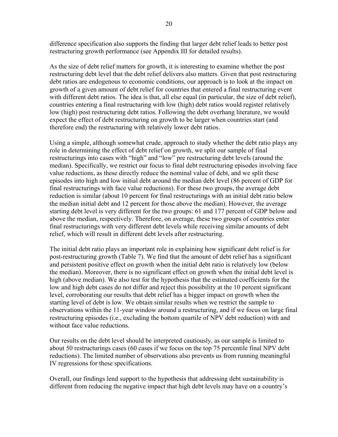difference specification also supports the finding that larger debt relief leads to better post restructuring growth performance (see Appendix III for detailed results).

As the size of debt relief matters for growth, it is interesting to examine whether the post restructuring debt level that the debt relief delivers also matters. Given that post restructuring debt ratios are endogenous to economic conditions, our approach is to look at the impact on growth of a given amount of debt relief for countries that entered a final restructuring event with different debt ratios. The idea is that, all else equal (in particular, the size of debt relief), countries entering a final restructuring with low (high) debt ratios would register relatively low (high) post restructuring debt ratios. Following the debt overhang literature, we would expect the effect of debt restructuring on growth to be larger when countries start (and therefore end) the restructuring with relatively lower debt ratios.

Using a simple, although somewhat crude, approach to study whether the debt ratio plays any role in determining the effect of debt relief on growth, we split our sample of final restructurings into cases with "high" and "low" pre restructuring debt levels (around the median). Specifically, we restrict our focus to final debt restructuring episodes involving face value reductions, as these directly reduce the nominal value of debt, and we split these episodes into high and low initial debt around the median debt level (86 percent of GDP for final restructurings with face value reductions). For these two groups, the average debt reduction is similar (about 10 percent for final restructurings with an initial debt ratio below the median initial debt and 12 percent for those above the median). However, the average starting debt level is very different for the two groups: 61 and 177 percent of GDP below and above the median, respectively. Therefore, on average, these two groups of countries enter final restructurings with very different debt levels while receiving similar amounts of debt relief, which will result in different debt levels after restructuring.

The initial debt ratio plays an important role in explaining how significant debt relief is for post-restructuring growth (Table 7). We find that the amount of debt relief has a significant and persistent positive effect on growth when the initial debt ratio is relatively low (below the median). Moreover, there is no significant effect on growth when the initial debt level is high (above median). We also test for the hypothesis that the estimated coefficients for the low and high debt cases do not differ and reject this possibility at the 10 percent significant level, corroborating our results that debt relief has a bigger impact on growth when the starting level of debt is low. We obtain similar results when we restrict the sample to observations within the 11-year window around a restructuring, and if we focus on large final restructuring episodes (i.e., excluding the bottom quartile of NPV debt reduction) with and without face value reductions.

Our results on the debt level should be interpreted cautiously, as our sample is limited to about 50 restructurings cases (60 cases if we focus on the top 75 percentile final NPV debt reductions). The limited number of observations also prevents us from running meaningful IV regressions for these specifications.

Overall, our findings lend support to the hypothesis that addressing debt sustainability is different from reducing the negative impact that high debt levels may have on a country's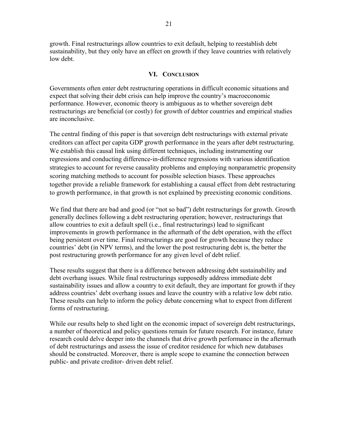growth. Final restructurings allow countries to exit default, helping to reestablish debt sustainability, but they only have an effect on growth if they leave countries with relatively low debt.

#### **VI. CONCLUSION**

Governments often enter debt restructuring operations in difficult economic situations and expect that solving their debt crisis can help improve the country's macroeconomic performance. However, economic theory is ambiguous as to whether sovereign debt restructurings are beneficial (or costly) for growth of debtor countries and empirical studies are inconclusive.

The central finding of this paper is that sovereign debt restructurings with external private creditors can affect per capita GDP growth performance in the years after debt restructuring. We establish this causal link using different techniques, including instrumenting our regressions and conducting difference-in-difference regressions with various identification strategies to account for reverse causality problems and employing nonparametric propensity scoring matching methods to account for possible selection biases. These approaches together provide a reliable framework for establishing a causal effect from debt restructuring to growth performance, in that growth is not explained by preexisting economic conditions.

We find that there are bad and good (or "not so bad") debt restructurings for growth. Growth generally declines following a debt restructuring operation; however, restructurings that allow countries to exit a default spell (i.e., final restructurings) lead to significant improvements in growth performance in the aftermath of the debt operation, with the effect being persistent over time. Final restructurings are good for growth because they reduce countries' debt (in NPV terms), and the lower the post restructuring debt is, the better the post restructuring growth performance for any given level of debt relief.

These results suggest that there is a difference between addressing debt sustainability and debt overhang issues. While final restructurings supposedly address immediate debt sustainability issues and allow a country to exit default, they are important for growth if they address countries' debt overhang issues and leave the country with a relative low debt ratio. These results can help to inform the policy debate concerning what to expect from different forms of restructuring.

While our results help to shed light on the economic impact of sovereign debt restructurings, a number of theoretical and policy questions remain for future research. For instance, future research could delve deeper into the channels that drive growth performance in the aftermath of debt restructurings and assess the issue of creditor residence for which new databases should be constructed. Moreover, there is ample scope to examine the connection between public- and private creditor- driven debt relief.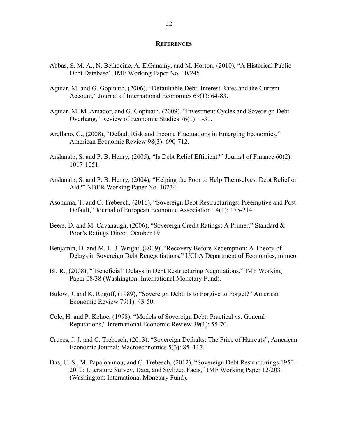#### **REFERENCES**

- Abbas, S. M. A., N. Belhocine, A. ElGanainy, and M. Horton, (2010), "A Historical Public Debt Database", IMF Working Paper No. 10/245.
- Aguiar, M. and G. Gopinath, (2006), "Defaultable Debt, Interest Rates and the Current Account," Journal of International Economics 69(1): 64-83.
- Aguiar, M. M. Amador, and G. Gopinath, (2009), "Investment Cycles and Sovereign Debt Overhang," Review of Economic Studies 76(1): 1-31.
- Arellano, C., (2008), "Default Risk and Income Fluctuations in Emerging Economies," American Economic Review 98(3): 690-712.
- Arslanalp, S. and P. B. Henry, (2005), "Is Debt Relief Efficient?" Journal of Finance 60(2): 1017-1051.
- Arslanalp, S. and P. B. Henry, (2004), "Helping the Poor to Help Themselves: Debt Relief or Aid?" NBER Working Paper No. 10234.
- Asonuma, T. and C. Trebesch, (2016), "Sovereign Debt Restructurings: Preemptive and Post-Default," Journal of European Economic Association 14(1): 175-214.
- Beers, D. and M. Cavanaugh, (2006), "Sovereign Credit Ratings: A Primer," Standard & Poor's Ratings Direct, October 19.
- Benjamin, D. and M. L. J. Wright, (2009), "Recovery Before Redemption: A Theory of Delays in Sovereign Debt Renegotiations," UCLA Department of Economics, mimeo.
- Bi, R., (2008), "'Beneficial' Delays in Debt Restructuring Negotiations," IMF Working Paper 08/38 (Washington: International Monetary Fund).
- Bulow, J. and K. Rogoff, (1989), "Sovereign Debt: Is to Forgive to Forget?" American Economic Review 79(1): 43-50.
- Cole, H. and P. Kehoe, (1998), "Models of Sovereign Debt: Practical vs. General Reputations," International Economic Review 39(1): 55-70.
- Cruces, J. J. and C. Trebesch, (2013), "Sovereign Defaults: The Price of Haircuts", American Economic Journal: Macroeconomics 5(3): 85–117.
- Das, U. S., M. Papaioannou, and C. Trebesch, (2012), "Sovereign Debt Restructurings 1950– 2010: Literature Survey, Data, and Stylized Facts," IMF Working Paper 12/203 (Washington: International Monetary Fund).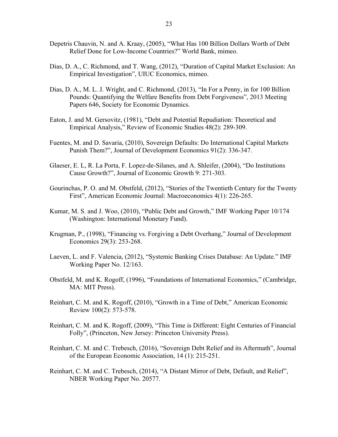- Depetris Chauvin, N. and A. Kraay, (2005), "What Has 100 Billion Dollars Worth of Debt Relief Done for Low-Income Countries?" World Bank, mimeo.
- Dias, D. A., C. Richmond, and T. Wang, (2012), "Duration of Capital Market Exclusion: An Empirical Investigation", UIUC Economics, mimeo.
- Dias, D. A., M. L. J. Wright, and C. Richmond, (2013), "In For a Penny, in for 100 Billion Pounds: Quantifying the Welfare Benefits from Debt Forgiveness", 2013 Meeting Papers 646, Society for Economic Dynamics.
- Eaton, J. and M. Gersovitz, (1981), "Debt and Potential Repudiation: Theoretical and Empirical Analysis," Review of Economic Studies 48(2): 289-309.
- Fuentes, M. and D. Savaria, (2010), Sovereign Defaults: Do International Capital Markets Punish Them?", Journal of Development Economics 91(2): 336-347.
- Glaeser, E. L, R. La Porta, F. Lopez-de-Silanes, and A. Shleifer, (2004), "Do Institutions Cause Growth?", Journal of Economic Growth 9: 271-303.
- Gourinchas, P. O. and M. Obstfeld, (2012), "Stories of the Twentieth Century for the Twenty First", American Economic Journal: Macroeconomics 4(1): 226-265.
- Kumar, M. S. and J. Woo, (2010), "Public Debt and Growth," IMF Working Paper 10/174 (Washington: International Monetary Fund).
- Krugman, P., (1998), "Financing vs. Forgiving a Debt Overhang," Journal of Development Economics 29(3): 253-268.
- Laeven, L. and F. Valencia, (2012), "Systemic Banking Crises Database: An Update." IMF Working Paper No. 12/163.
- Obstfeld, M. and K. Rogoff, (1996), "Foundations of International Economics," (Cambridge, MA: MIT Press).
- Reinhart, C. M. and K. Rogoff, (2010), "Growth in a Time of Debt," American Economic Review 100(2): 573-578.
- Reinhart, C. M. and K. Rogoff, (2009), "This Time is Different: Eight Centuries of Financial Folly", (Princeton, New Jersey: Princeton University Press).
- Reinhart, C. M. and C. Trebesch, (2016), "Sovereign Debt Relief and its Aftermath", Journal of the European Economic Association, 14 (1): 215-251.
- Reinhart, C. M. and C. Trebesch, (2014), "A Distant Mirror of Debt, Default, and Relief", NBER Working Paper No. 20577.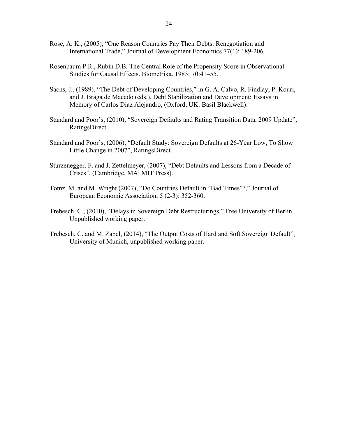- Rose, A. K., (2005), "One Reason Countries Pay Their Debts: Renegotiation and International Trade," Journal of Development Economics 77(1): 189-206.
- Rosenbaum P.R., Rubin D.B. The Central Role of the Propensity Score in Observational Studies for Causal Effects. Biometrika. 1983; 70:41–55.
- Sachs, J., (1989), "The Debt of Developing Countries," in G. A. Calvo, R. Findlay, P. Kouri, and J. Braga de Macedo (eds.), Debt Stabilization and Development: Essays in Memory of Carlos Diaz Alejandro, (Oxford, UK: Basil Blackwell).
- Standard and Poor's, (2010), "Sovereign Defaults and Rating Transition Data, 2009 Update", RatingsDirect.
- Standard and Poor's, (2006), "Default Study: Sovereign Defaults at 26-Year Low, To Show Little Change in 2007", RatingsDirect.
- Sturzenegger, F. and J. Zettelmeyer, (2007), "Debt Defaults and Lessons from a Decade of Crises", (Cambridge, MA: MIT Press).
- Tomz, M. and M. Wright (2007), "Do Countries Default in "Bad Times"?," Journal of European Economic Association, 5 (2-3): 352-360.
- Trebesch, C., (2010), "Delays in Sovereign Debt Restructurings," Free University of Berlin, Unpublished working paper.
- Trebesch, C. and M. Zabel, (2014), "The Output Costs of Hard and Soft Sovereign Default", University of Munich, unpublished working paper.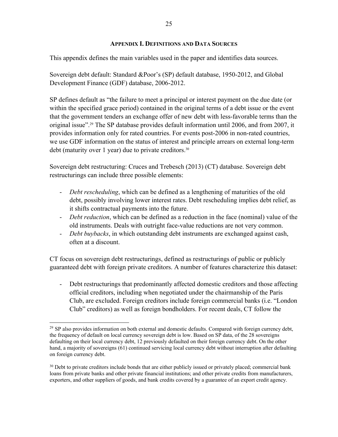### **APPENDIX I. DEFINITIONS AND DATA SOURCES**

This appendix defines the main variables used in the paper and identifies data sources.

Sovereign debt default: Standard &Poor's (SP) default database, 1950-2012, and Global Development Finance (GDF) database, 2006-2012.

SP defines default as "the failure to meet a principal or interest payment on the due date (or within the specified grace period) contained in the original terms of a debt issue or the event that the government tenders an exchange offer of new debt with less-favorable terms than the original issue".29 The SP database provides default information until 2006, and from 2007, it provides information only for rated countries. For events post-2006 in non-rated countries, we use GDF information on the status of interest and principle arrears on external long-term debt (maturity over 1 year) due to private creditors. $30$ 

Sovereign debt restructuring: Cruces and Trebesch (2013) (CT) database. Sovereign debt restructurings can include three possible elements:

- *Debt rescheduling*, which can be defined as a lengthening of maturities of the old debt, possibly involving lower interest rates. Debt rescheduling implies debt relief, as it shifts contractual payments into the future.
- *Debt reduction*, which can be defined as a reduction in the face (nominal) value of the old instruments. Deals with outright face-value reductions are not very common.
- *Debt buybacks*, in which outstanding debt instruments are exchanged against cash, often at a discount.

CT focus on sovereign debt restructurings, defined as restructurings of public or publicly guaranteed debt with foreign private creditors. A number of features characterize this dataset:

- Debt restructurings that predominantly affected domestic creditors and those affecting official creditors, including when negotiated under the chairmanship of the Paris Club, are excluded. Foreign creditors include foreign commercial banks (i.e. "London Club" creditors) as well as foreign bondholders. For recent deals, CT follow the

 $\overline{a}$  $^{29}$  SP also provides information on both external and domestic defaults. Compared with foreign currency debt, the frequency of default on local currency sovereign debt is low. Based on SP data, of the 28 sovereigns defaulting on their local currency debt, 12 previously defaulted on their foreign currency debt. On the other hand, a majority of sovereigns (61) continued servicing local currency debt without interruption after defaulting on foreign currency debt.

 $30$  Debt to private creditors include bonds that are either publicly issued or privately placed; commercial bank loans from private banks and other private financial institutions; and other private credits from manufacturers, exporters, and other suppliers of goods, and bank credits covered by a guarantee of an export credit agency.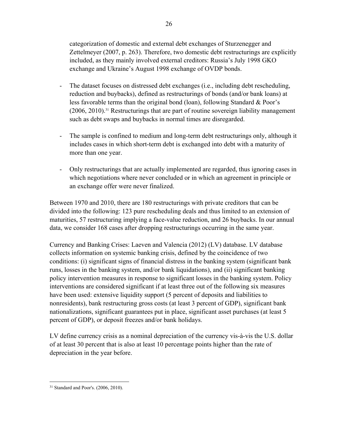categorization of domestic and external debt exchanges of Sturzenegger and Zettelmeyer (2007, p. 263). Therefore, two domestic debt restructurings are explicitly included, as they mainly involved external creditors: Russia's July 1998 GKO exchange and Ukraine's August 1998 exchange of OVDP bonds.

- The dataset focuses on distressed debt exchanges (i.e., including debt rescheduling, reduction and buybacks), defined as restructurings of bonds (and/or bank loans) at less favorable terms than the original bond (loan), following Standard & Poor's (2006, 2010).31 Restructurings that are part of routine sovereign liability management such as debt swaps and buybacks in normal times are disregarded.
- The sample is confined to medium and long-term debt restructurings only, although it includes cases in which short-term debt is exchanged into debt with a maturity of more than one year.
- Only restructurings that are actually implemented are regarded, thus ignoring cases in which negotiations where never concluded or in which an agreement in principle or an exchange offer were never finalized.

Between 1970 and 2010, there are 180 restructurings with private creditors that can be divided into the following: 123 pure rescheduling deals and thus limited to an extension of maturities, 57 restructuring implying a face-value reduction, and 26 buybacks. In our annual data, we consider 168 cases after dropping restructurings occurring in the same year.

Currency and Banking Crises: Laeven and Valencia (2012) (LV) database. LV database collects information on systemic banking crisis, defined by the coincidence of two conditions: (i) significant signs of financial distress in the banking system (significant bank runs, losses in the banking system, and/or bank liquidations), and (ii) significant banking policy intervention measures in response to significant losses in the banking system. Policy interventions are considered significant if at least three out of the following six measures have been used: extensive liquidity support (5 percent of deposits and liabilities to nonresidents), bank restructuring gross costs (at least 3 percent of GDP), significant bank nationalizations, significant guarantees put in place, significant asset purchases (at least 5 percent of GDP), or deposit freezes and/or bank holidays.

LV define currency crisis as a nominal depreciation of the currency vis-à-vis the U.S. dollar of at least 30 percent that is also at least 10 percentage points higher than the rate of depreciation in the year before.

 $\overline{a}$ 31 Standard and Poor's. (2006, 2010).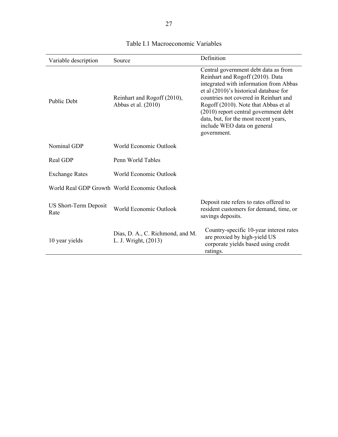| Variable description          | Source                                                   | Definition                                                                                                                                                                                                                                                                                                                                                                    |
|-------------------------------|----------------------------------------------------------|-------------------------------------------------------------------------------------------------------------------------------------------------------------------------------------------------------------------------------------------------------------------------------------------------------------------------------------------------------------------------------|
| <b>Public Debt</b>            | Reinhart and Rogoff (2010),<br>Abbas et al. (2010)       | Central government debt data as from<br>Reinhart and Rogoff (2010). Data<br>integrated with information from Abbas<br>et al (2010)'s historical database for<br>countries not covered in Reinhart and<br>Rogoff (2010). Note that Abbas et al<br>(2010) report central government debt<br>data, but, for the most recent years,<br>include WEO data on general<br>government. |
| Nominal GDP                   | World Economic Outlook                                   |                                                                                                                                                                                                                                                                                                                                                                               |
| Real GDP                      | Penn World Tables                                        |                                                                                                                                                                                                                                                                                                                                                                               |
| <b>Exchange Rates</b>         | World Economic Outlook                                   |                                                                                                                                                                                                                                                                                                                                                                               |
|                               | World Real GDP Growth World Economic Outlook             |                                                                                                                                                                                                                                                                                                                                                                               |
| US Short-Term Deposit<br>Rate | <b>World Economic Outlook</b>                            | Deposit rate refers to rates offered to<br>resident customers for demand, time, or<br>savings deposits.                                                                                                                                                                                                                                                                       |
| 10 year yields                | Dias, D. A., C. Richmond, and M.<br>L. J. Wright, (2013) | Country-specific 10-year interest rates<br>are proxied by high-yield US<br>corporate yields based using credit<br>ratings.                                                                                                                                                                                                                                                    |

## Table I.1 Macroeconomic Variables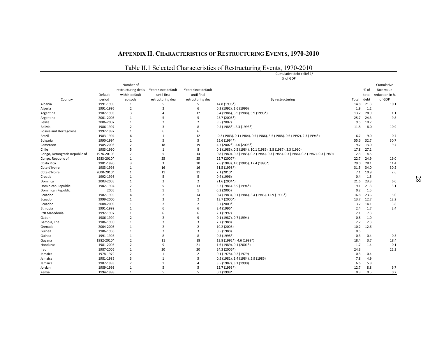#### **APPENDIX II. CHARACTERISTICS OF RESTRUCTURING EVENTS, 1970-2010**

|  | Table II.1 Selected Characteristics of Restructuring Events, 1970-2010 |  |  |  |
|--|------------------------------------------------------------------------|--|--|--|

|                               |                   |                                                               |                                                          |                                                          | Cumulative debt relief 1/                                                          |       |                       |                                                      |
|-------------------------------|-------------------|---------------------------------------------------------------|----------------------------------------------------------|----------------------------------------------------------|------------------------------------------------------------------------------------|-------|-----------------------|------------------------------------------------------|
|                               |                   |                                                               |                                                          |                                                          | % of GDP                                                                           |       |                       |                                                      |
| Country                       | Default<br>period | Number of<br>restructuring deals<br>within default<br>episode | Years since default<br>until first<br>restructuring deal | Years since default<br>until final<br>restructuring deal | By restructuring                                                                   | Total | % of<br>total<br>debt | Cumulative<br>face value<br>reduction in %<br>of GDP |
| Albania                       | 1991-1995         | $\mathbf{1}$                                                  | 5                                                        | 5                                                        | 14.8 (1996*)                                                                       | 14.8  | 21.3                  | 10.1                                                 |
| Algeria                       | 1991-1996         | $\overline{2}$                                                | $\overline{2}$                                           | 6                                                        | 0.3 (1992), 1.6 (1996)                                                             | 1.9   | 1.2                   |                                                      |
| Argentina                     | 1982-1993         | 3                                                             | $\overline{a}$                                           | 12                                                       | 3.4 (1986), 5.9 (1988), 3.9 (1993*)                                                | 13.2  | 28.9                  | 1.1                                                  |
| Argentina                     | 2001-2005         | $\mathbf{1}$                                                  | 5                                                        | 5                                                        | 25.7 (2005*)                                                                       | 25.7  | 24.3                  | 9.8                                                  |
| Belize                        | 2006-2007         | $\mathbf{1}$                                                  | $\overline{2}$                                           | $\overline{2}$                                           | 9.5(2007)                                                                          | 9.5   | 10.7                  |                                                      |
| <b>Bolivia</b>                | 1986-1997         | $\overline{2}$                                                | $\mathbf{a}$                                             | 8                                                        | 9.5 (1988*), 2.3 (1993*)                                                           | 11.8  | 8.0                   | 10.9                                                 |
| Bosnia and Herzegovina        | 1992-1997         | $\mathbf{1}$                                                  | 6                                                        | 6                                                        |                                                                                    |       |                       |                                                      |
| Brazil                        | 1983-1994         | 6                                                             | $\mathbf{1}$                                             | 12                                                       | -0.3 (1983), 0.1 (1984), 0.5 (1986), 3.5 (1988), 0.6 (1992), 2.3 (1994*)           | 6.7   | 9.0                   | 0.7                                                  |
| <b>Bulgaria</b>               | 1990-1994         | $\mathbf{1}$                                                  | 5                                                        | 5                                                        | 55.6 (1994*)                                                                       | 55.6  | 32.7                  | 30.7                                                 |
| Cameroon                      | 1985-2003         | $\overline{2}$                                                | 18                                                       | 19                                                       | 4.7 (2002*), 5.0 (2003*)                                                           | 9.7   | 13.0                  | 9.7                                                  |
| Chile                         | 1983-1990         | 5                                                             | $\mathbf{1}$                                             | 8                                                        | 0.1 (1983), 0.5 (1984), 10.1 (1986), 3.8 (1987), 3.3 (1990)                        | 17.8  | 27.1                  |                                                      |
| Congo, Demogratic Republic of | 1976-2010^        | $\overline{7}$                                                | 5                                                        | 14                                                       | 0.8 (1980), 0.2 (1983), 0.2 (1984), 0.3 (1985), 0.3 (1986), 0.2 (1987), 0.3 (1989) | 2.3   | 4.5                   |                                                      |
| Congo, Republic of            | 1983-2010^        | $\mathbf{1}$                                                  | 25                                                       | 25                                                       | 22.7 (2007*)                                                                       | 22.7  | 24.9                  | 19.0                                                 |
| Costa Rica                    | 1981-1990         | 3                                                             | $\overline{3}$                                           | 10                                                       | 7.6 (1983), 4.0 (1985), 17.4 (1990*)                                               | 29.0  | 28.1                  | 11.4                                                 |
| Cote d'Ivoire                 | 1983-1998         | $\mathbf{1}$                                                  | 16                                                       | 16                                                       | 31.5 (1998*)                                                                       | 31.5  | 34.0                  | 30.2                                                 |
| Cote d'Ivoire                 | 2000-2010^        | $\mathbf{1}$                                                  | 11                                                       | 11                                                       | $7.1(2010*)$                                                                       | 7.1   | 10.9                  | 2.6                                                  |
| Croatia                       | 1992-1996         | $\mathbf{1}$                                                  | 5                                                        | 5                                                        | 0.4(1996)                                                                          | 0.4   | 1.5                   |                                                      |
| Dominca                       | 2003-2005         | $\mathbf{1}$                                                  | $\overline{2}$                                           | $\overline{2}$                                           | 21.6 (2004*)                                                                       | 21.6  | 23.3                  | 6.0                                                  |
| Dominican Republic            | 1982-1994         | $\overline{2}$                                                | 5                                                        | 13                                                       | 5.2 (1986), 3.9 (1994*)                                                            | 9.1   | 21.3                  | 3.1                                                  |
| Dominican Republic            | 2005              | $\mathbf{1}$                                                  | $\mathbf{1}$                                             | $\mathbf{1}$                                             | 0.2(2005)                                                                          | 0.2   | 1.5                   |                                                      |
| Ecuador                       | 1982-1995         | $\overline{4}$                                                | $\overline{2}$                                           | 14                                                       | 0.4 (1983), 0.1 (1984), 3.4 (1985), 12.9 (1995*)                                   | 16.8  | 23.6                  | 5.0                                                  |
| Ecuador                       | 1999-2000         | $\mathbf{1}$                                                  | $\overline{2}$                                           | $\overline{2}$                                           | 13.7 (2000*)                                                                       | 13.7  | 12.7                  | 12.2                                                 |
| Ecuador                       | 2008-2009         | $\mathbf{1}$                                                  | $\overline{2}$                                           | $\overline{2}$                                           | $3.7(2009*)$                                                                       | 3.7   | 14.1                  | 3.8                                                  |
| Ethiopia                      | 1991-1999         | $\mathbf{1}$                                                  | 6                                                        | 6                                                        | $2.4(1996*)$                                                                       | 2.4   | 1.7                   | 2.4                                                  |
| <b>FYR Macedonia</b>          | 1992-1997         | $\mathbf{1}$                                                  | 6                                                        | 6                                                        | 2.1 (1997)                                                                         | 2.1   | 7.3                   |                                                      |
| Gabon                         | 1986-1994         | $\overline{2}$                                                | $\overline{2}$                                           | 9                                                        | 0.1 (1987), 0.7 (1994)                                                             | 0.8   | 1.0                   |                                                      |
| Gambia, The                   | 1986-1990         | $\mathbf{1}$                                                  | 3                                                        | $\overline{3}$                                           | 2.7 (1988)                                                                         | 2.7   | 2.3                   |                                                      |
| Grenada                       | 2004-2005         | $\mathbf{1}$                                                  | $\overline{2}$                                           | $\overline{2}$                                           | 10.2 (2005)                                                                        | 10.2  | 12.6                  |                                                      |
| Guinea                        | 1986-1988         | $\mathbf{1}$                                                  | $\overline{3}$                                           | 3                                                        | 0.5(1988)                                                                          | 0.5   |                       |                                                      |
| Guinea                        | 1991-1998         | $\mathbf{1}$                                                  | 8                                                        | 8                                                        | $0.3(1998*)$                                                                       | 0.3   | 0.4                   | 0.3                                                  |
| Guyana                        | 1982-2010^        | $\overline{2}$                                                | 11                                                       | 18                                                       | 13.8 (1992*), 4.6 (1999*)                                                          | 18.4  | 3.7                   | 18.4                                                 |
| Honduras                      | 1981-2005         | $\overline{2}$                                                | 9                                                        | 21                                                       | $1.6(1989), 0.1(2001*)$                                                            | 1.7   | 1.4                   | 0.1                                                  |
| Iraq                          | 1987-2006         | $\mathbf{1}$                                                  | 20                                                       | 20                                                       | 24.3 (2006*)                                                                       | 24.3  |                       | 22.2                                                 |
| Jamaica                       | 1978-1979         | $\overline{2}$                                                | $\mathbf{1}$                                             | $\overline{2}$                                           | 0.1(1978), 0.2(1979)                                                               | 0.3   | 0.4                   |                                                      |
| Jamaica                       | 1981-1985         | $\overline{3}$                                                | $\mathbf{1}$                                             | 5                                                        | 0.5 (1981), 1.4 (1984), 5.9 (1985)                                                 | 7.8   | 4.9                   |                                                      |
| Jamaica                       | 1987-1993         | $\overline{2}$                                                | $\mathbf{1}$                                             | $\Delta$                                                 | 3.5 (1987), 3.1 (1990)                                                             | 6.6   | 5.8                   |                                                      |
| Jordan                        | 1989-1993         | $\mathbf{1}$                                                  | 5                                                        | 5                                                        | 12.7 (1993*)                                                                       | 12.7  | 8.8                   | 6.7                                                  |
| Kenya                         | 1994-1998         | $\mathbf{1}$                                                  | 5                                                        | 5                                                        | $0.3(1998*)$                                                                       | 0.3   | 0.5                   | 0.2                                                  |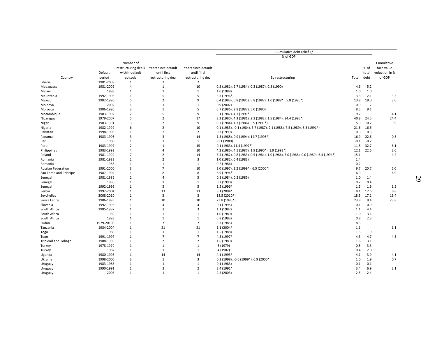|                            |            |                     |                     |                     | Cumulative debt relief 1/                                                           |        |        |                |
|----------------------------|------------|---------------------|---------------------|---------------------|-------------------------------------------------------------------------------------|--------|--------|----------------|
|                            |            |                     |                     |                     | % of GDP                                                                            |        |        |                |
|                            |            | Number of           |                     |                     |                                                                                     |        |        | Cumulative     |
|                            |            | restructuring deals | Years since default | Years since default |                                                                                     |        | % of   | face value     |
|                            | Default    | within default      | until first         | until final         |                                                                                     |        | total  | reduction in % |
| Country                    | period     | episode             | restructuring deal  | restructuring deal  | By restructuring                                                                    | Total  | debt   | of GDP         |
| Liberia                    | 1981-2009  | $\mathbf{1}$        | $\overline{2}$      | $\overline{2}$      |                                                                                     |        |        |                |
| Madagascar                 | 1981-2002  | $\overline{4}$      | $\mathbf{1}$        | 10                  | 0.8 (1981), 2.7 (1984), 0.3 (1987), 0.8 (1990)                                      | 4.6    | 5.2    |                |
| Malawi                     | 1988       | 1                   | $\mathbf{1}$        | $\mathbf{1}$        | 1.0 (1988)                                                                          | 1.0    | 1.0    |                |
|                            | 1992-1996  | 1                   | 5                   | 5                   | $3.3(1996*)$                                                                        | 3.3    | 2.1    |                |
| Mauritania<br>Mexico       | 1982-1990  | 5                   | $\overline{2}$      | 9                   |                                                                                     | 13.8   | 19.0   | 3.3<br>3.0     |
|                            |            |                     |                     |                     | 0.4 (1983), 0.8 (1985), 5.8 (1987), 1.0 (1988*), 5.8 (1990*)                        |        |        |                |
| Moldova                    | 2002       | $\mathbf{1}$        | $\mathbf{1}$        | $\mathbf{1}$<br>5   | 0.9(2002)                                                                           | 0.9    | 1.2    |                |
| Morocco                    | 1986-1990  | 3                   | $\mathbf{1}$        |                     | 0.7 (1986), 2.8 (1987), 5.0 (1990)                                                  | 8.5    | 9.1    |                |
| Mozambique                 | 1983-1992  | $\overline{2}$<br>5 | 5<br>$\overline{2}$ | 9                   | 5.1 (1987), 4.1 (1991*)                                                             | 9.2    |        | 4.1            |
| Nicaragua                  | 1979-2007  |                     |                     | 17                  | 8.3 (1980), 4.3 (1981), 2.3 (1982), 1.5 (1984), 24.4 (1995*)                        | 40.8   | 24.5   | 24.4           |
| Niger                      | 1983-1991  | 3                   | $\overline{2}$      | 9                   | 0.7 (1984), 1.3 (1986), 3.9 (1991*)                                                 | 5.9    | 10.2   | 3.9            |
| Nigeria                    | 1982-1992  | 6                   | $\overline{2}$      | 10                  | 0.1 (1983), -0.1 (1984), 3.7 (1987), 2.1 (1988), 7.5 (1989), 8.3 (1991*)            | 21.6   | 16.6   |                |
| Pakistan                   | 1998-1999  | 1                   | $\overline{2}$      | $\overline{2}$      | 0.3(1999)                                                                           | 0.3    | 0.3    |                |
| Panama                     | 1983-1996  | 3                   | $\overline{3}$      | 14                  | 1.3 (1985), 0.9 (1994), 14.7 (1996*)                                                | 16.9   | 22.6   | 0.3            |
| Peru                       | 1980       | $\mathbf{1}$        | $\mathbf{1}$        | $\mathbf{1}$        | $-0.1(1980)$                                                                        | $-0.1$ | $-0.2$ |                |
| Peru                       | 1983-1997  | $\overline{2}$      | $\overline{1}$      | 15                  | $0.1$ (1983), 11.4 (1997*)                                                          | 11.5   | 32.7   | 6.1            |
| Philippines                | 1983-1992  | 4                   | $\overline{4}$      | 10                  | 4.2 (1986), 4.1 (1987), 1.9 (1990*), 1.9 (1992*)                                    | 12.1   | 22.6   | 2.0            |
| Poland                     | 1981-1994  | $\overline{7}$      | $\overline{2}$      | 14                  | 3.4 (1982), 0.8 (1983), 0.5 (1984), 1.0 (1986), 3.0 (1988), 0.0 (1989), 6.4 (1994*) | 15.1   |        | 4.2            |
| Romania                    | 1981-1983  | $\overline{2}$      | $\overline{2}$      | 3                   | 1.0 (1982), 0.4 (1983)                                                              | 1.4    |        |                |
| Romania                    | 1986       | $\mathbf{1}$        | $\mathbf{1}$        | $\mathbf{1}$        | 0.2(1986)                                                                           | 0.2    |        |                |
| <b>Russian Federation</b>  | 1991-2000  | 3                   | $\overline{7}$      | 10                  | 2.0 (1997), 1.2 (1999*), 6.5 (2000*)                                                | 9.7    | 20.7   | 5.0            |
| Sao Tome and Principe      | 1987-1994  | $\mathbf{1}$        | 8                   | 8                   | 6.9 (1994*)                                                                         | 6.9    |        | 6.9            |
| Senegal                    | 1981-1985  | $\overline{2}$      | $\overline{4}$      | 5                   | 0.8(1984), 0.2(1985)                                                                | 1.0    | 1.4    |                |
| Senegal                    | 1990       | $\mathbf{1}$        | $\mathbf{1}$        | $\mathbf{1}$        | 0.2(1990)                                                                           | 0.2    | 0.4    |                |
| Senegal                    | 1992-1996  | $\mathbf{1}$        | 5                   | 5                   | $1.5(1996*)$                                                                        | 1.5    | 1.9    | 1.5            |
| Serbia                     | 1992-2004  | $\mathbf{1}$        | 13                  | 13                  | $8.1(2004*)$                                                                        | 8.1    | 12.6   | 6.8            |
| Seychelles                 | 2008-2010  | $\mathbf{1}$        | $\overline{3}$      | 3                   | 18.5 (2010*)                                                                        | 18.5   | 17.1   | 16.4           |
| Sierra Leone               | 1986-1995  | 1                   | 10                  | 10                  | 23.8 (1995*)                                                                        | 23.8   | 9.4    | 23.8           |
| Slovenia                   | 1992-1996  | $\mathbf{1}$        | $\overline{4}$      | $\overline{a}$      | 0.1(1995)                                                                           | 0.1    | 0.9    |                |
| South Africa               | 1985-1987  | $\mathbf{1}$        | $\overline{3}$      | $\overline{3}$      | 1.1(1987)                                                                           | 1.1    | 4.4    |                |
| South Africa               | 1989       | $\mathbf{1}$        | $\mathbf{1}$        | $\mathbf{1}$        | 1.0 (1989)                                                                          | 1.0    | 3.1    |                |
| South Africa               | 1993       | $\mathbf{1}$        | $\mathbf{1}$        | $\mathbf{1}$        | 0.8(1993)                                                                           | 0.8    | 2.3    |                |
| Sudan                      | 1979-2010^ | $\mathbf{1}$        | $\overline{7}$      | $\overline{7}$      | 8.3 (1985)                                                                          | 8.3    |        |                |
| Tanzania                   | 1984-2004  | $\mathbf{1}$        | 21                  | 21                  | $1.1(2004*)$                                                                        | 1.1    |        | 1.1            |
| Togo                       | 1988       | $\mathbf{1}$        | $\mathbf{1}$        | $\mathbf{1}$        | 1.5 (1988)                                                                          | 1.5    | 1.9    |                |
| Togo                       | 1991-1997  | $\mathbf{1}$        | $\overline{7}$      | $\overline{7}$      | 4.3 (1997*)                                                                         | 4.3    | 4.7    | 4.3            |
| <b>Trinidad and Tobago</b> | 1988-1989  | $\mathbf{1}$        | $\overline{2}$      | $\overline{2}$      | 1.6 (1989)                                                                          | 1.6    | 3.1    |                |
| Turkey                     | 1978-1979  | $\mathbf{1}$        | $\mathbf{1}$        | $\mathbf{1}$        | .5(1979)                                                                            | 0.5    | 3.3    |                |
| Turkey                     | 1982       | 1                   | $\mathbf{1}$        | 1                   | .4 (1982)                                                                           | 0.4    | 2.0    |                |
| Uganda                     | 1980-1993  | 1                   | 14                  | 14                  | $4.1(1993*)$                                                                        | 4.1    | 3.9    | 4.1            |
| Ukraine                    | 1998-2000  | $\overline{3}$      | $\mathbf{1}$        | $\overline{3}$      | 0.2 (1998), -0.0 (1999*), 0.9 (2000*)                                               | 1.0    | 1.9    | 0.7            |
| Uruguay                    | 1983-1985  | $\mathbf{1}$        | $\mathbf{1}$        | 1                   | 0.1(1983)                                                                           | 0.1    | 0.1    |                |
| Uruguay                    | 1990-1991  | 1                   | $\overline{2}$      | $\overline{2}$      | $3.4(1991*)$                                                                        | 3.4    | 6.9    | 2.1            |
| Uruguay                    | 2003       | 1                   | $\overline{1}$      | 1                   | 2.5(2003)                                                                           | 2.5    | 2.4    |                |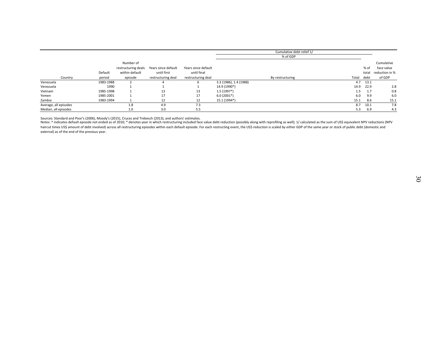|                       |           |                     |                     |                     |                        | Cumulative debt relief 1/ |       |       |                |
|-----------------------|-----------|---------------------|---------------------|---------------------|------------------------|---------------------------|-------|-------|----------------|
|                       |           |                     |                     |                     |                        | % of GDP                  |       |       |                |
|                       |           | Number of           |                     |                     |                        |                           |       |       | Cumulative     |
|                       |           | restructuring deals | Years since default | Years since default |                        |                           |       | % of  | face value     |
|                       | Default   | within default      | until first         | until final         |                        |                           |       | total | reduction in % |
| Country               | period    | episode             | restructuring deal  | restructuring deal  |                        | By restructuring          | Total | debt  | of GDP         |
| Venezuela             | 1983-1988 |                     |                     | b                   | 3.3 (1986), 1.4 (1988) |                           | 4.7   | 13.1  |                |
| Venezuela             | 1990      |                     |                     |                     | 14.9 (1990*)           |                           | 14.9  | 22.9  | 2.8            |
| Vietnam               | 1985-1998 |                     | 13                  | 13                  | $1.5(1997*)$           |                           | 1.5   | 1.7   | 0.8            |
| Yemen                 | 1985-2001 |                     | 17                  | 17                  | $6.0(2001*)$           |                           | 6.0   | 9.9   | 6.0            |
| Zambia                | 1983-1994 |                     | 12                  |                     | 15.1 (1994*)           |                           | 15.1  | 8.6   | 15.1           |
| Average, all episodes |           | 1.8                 | 4.9                 | 7.3                 |                        |                           | 8.7   | 10.1  | 7.8            |
| Median, all episodes  |           | 1.0                 | 3.0                 | 5.5                 |                        |                           | 5.3   | 6.9   | 4.3            |

Sources: Standard and Poor's (2006), Moody's (2015), Cruces and Trebesch (2013), and authors' estimates.<br>Notes: ^ indicates default episode not ended as of 2010; \* denotes year in which restructuring included face value de haircut times US\$ amount of debt involved) across all restructuring episodes within each default episode. For each restructing event, the US\$ reduction is scaled by either GDP of the same year or stock of public debt (dome external) as of the end of the previous year.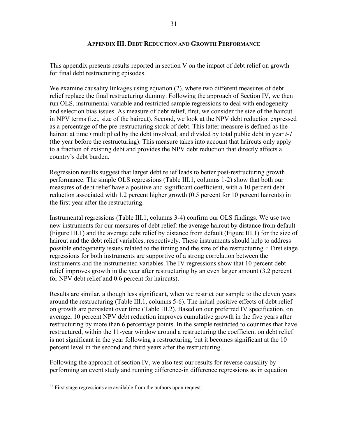#### **APPENDIX III. DEBT REDUCTION AND GROWTH PERFORMANCE**

This appendix presents results reported in section V on the impact of debt relief on growth for final debt restructuring episodes.

We examine causality linkages using equation (2), where two different measures of debt relief replace the final restructuring dummy. Following the approach of Section IV, we then run OLS, instrumental variable and restricted sample regressions to deal with endogeneity and selection bias issues. As measure of debt relief, first, we consider the size of the haircut in NPV terms (i.e., size of the haircut). Second, we look at the NPV debt reduction expressed as a percentage of the pre-restructuring stock of debt. This latter measure is defined as the haircut at time *t* multiplied by the debt involved, and divided by total public debt in year *t-1* (the year before the restructuring). This measure takes into account that haircuts only apply to a fraction of existing debt and provides the NPV debt reduction that directly affects a country's debt burden.

Regression results suggest that larger debt relief leads to better post-restructuring growth performance. The simple OLS regressions (Table III.1, columns 1-2) show that both our measures of debt relief have a positive and significant coefficient, with a 10 percent debt reduction associated with 1.2 percent higher growth (0.5 percent for 10 percent haircuts) in the first year after the restructuring.

Instrumental regressions (Table III.1, columns 3-4) confirm our OLS findings. We use two new instruments for our measures of debt relief: the average haircut by distance from default (Figure III.1) and the average debt relief by distance from default (Figure III.1) for the size of haircut and the debt relief variables, respectively. These instruments should help to address possible endogeneity issues related to the timing and the size of the restructuring.32 First stage regressions for both instruments are supportive of a strong correlation between the instruments and the instrumented variables.The IV regressions show that 10 percent debt relief improves growth in the year after restructuring by an even larger amount (3.2 percent for NPV debt relief and 0.6 percent for haircuts).

Results are similar, although less significant, when we restrict our sample to the eleven years around the restructuring (Table III.1, columns 5-6). The initial positive effects of debt relief on growth are persistent over time (Table III.2). Based on our preferred IV specification, on average, 10 percent NPV debt reduction improves cumulative growth in the five years after restructuring by more than 6 percentage points. In the sample restricted to countries that have restructured, within the 11-year window around a restructuring the coefficient on debt relief is not significant in the year following a restructuring, but it becomes significant at the 10 percent level in the second and third years after the restructuring.

Following the approach of section IV, we also test our results for reverse causality by performing an event study and running difference-in difference regressions as in equation

 $32$  First stage regressions are available from the authors upon request.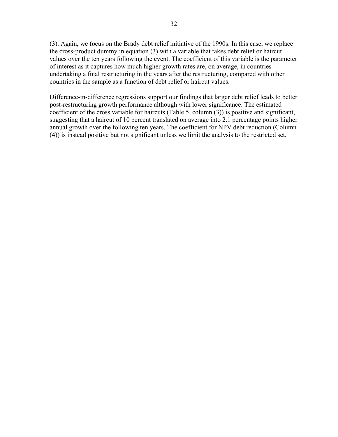(3). Again, we focus on the Brady debt relief initiative of the 1990s. In this case, we replace the cross-product dummy in equation (3) with a variable that takes debt relief or haircut values over the ten years following the event. The coefficient of this variable is the parameter of interest as it captures how much higher growth rates are, on average, in countries undertaking a final restructuring in the years after the restructuring, compared with other countries in the sample as a function of debt relief or haircut values.

Difference-in-difference regressions support our findings that larger debt relief leads to better post-restructuring growth performance although with lower significance. The estimated coefficient of the cross variable for haircuts (Table 5, column (3)) is positive and significant, suggesting that a haircut of 10 percent translated on average into 2.1 percentage points higher annual growth over the following ten years. The coefficient for NPV debt reduction (Column (4)) is instead positive but not significant unless we limit the analysis to the restricted set.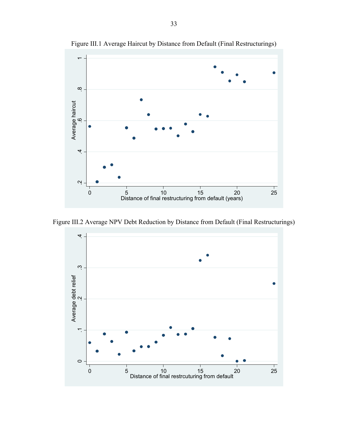

Figure III.1 Average Haircut by Distance from Default (Final Restructurings)

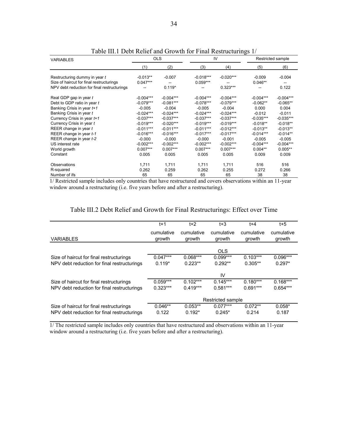| <b>VARIABLES</b>                            |             | <b>OLS</b>  |             | IV          | Restricted sample |             |  |
|---------------------------------------------|-------------|-------------|-------------|-------------|-------------------|-------------|--|
|                                             | (1)         | (2)         | (3)         | (4)         | (5)               | (6)         |  |
| Restructuring dummy in year t               | $-0.013**$  | $-0.007$    | $-0.018***$ | $-0.020***$ | $-0.009$          | $-0.004$    |  |
| Size of haircut for final restructurings    | $0.047***$  |             | $0.059***$  |             | $0.046**$         |             |  |
| NPV debt reduction for final restructurings |             | $0.119*$    |             | $0.323***$  |                   | 0.122       |  |
| Real GDP gap in year t                      | $-0.004***$ | $-0.004***$ | $-0.004***$ | $-0.004***$ | $-0.004***$       | $-0.004***$ |  |
| Debt to GDP ratio in year t                 | $-0.079***$ | $-0.081***$ | $-0.078***$ | $-0.079***$ | $-0.062**$        | $-0.065**$  |  |
| Banking Crisis in year t+1                  | $-0.005$    | $-0.004$    | $-0.005$    | $-0.004$    | 0.000             | 0.004       |  |
| Banking Crisis in year t                    | $-0.024***$ | $-0.024***$ | $-0.024***$ | $-0.024***$ | $-0.012$          | $-0.011$    |  |
| Currency Crisis in year t+1                 | $-0.037***$ | $-0.037***$ | $-0.037***$ | $-0.037***$ | $-0.035***$       | $-0.035***$ |  |
| Currency Crisis in year t                   | $-0.019***$ | $-0.020***$ | $-0.019***$ | $-0.019***$ | $-0.018**$        | $-0.018**$  |  |
| REER change in year t                       | $-0.011***$ | $-0.011***$ | $-0.011***$ | $-0.012***$ | $-0.013**$        | $-0.013**$  |  |
| REER change in year t-1                     | $-0.016***$ | $-0.016***$ | $-0.017***$ | $-0.017***$ | $-0.014***$       | $-0.014**$  |  |
| REER change in year t-2                     | $-0.000$    | $-0.000$    | $-0.000$    | $-0.001$    | $-0.005$          | $-0.005$    |  |
| US interest rate                            | $-0.002***$ | $-0.002***$ | $-0.002***$ | $-0.002***$ | $-0.004***$       | $-0.004***$ |  |
| World growth                                | $0.007***$  | $0.007***$  | $0.007***$  | $0.007***$  | $0.004**$         | $0.005**$   |  |
| Constant                                    | 0.005       | 0.005       | 0.005       | 0.005       | 0.009             | 0.009       |  |
| Observations                                | 1,711       | 1.711       | 1,711       | 1.711       | 516               | 516         |  |
| R-squared                                   | 0.262       | 0.259       | 0.262       | 0.255       | 0.272             | 0.266       |  |
| Number of ifs                               | 65          | 65          | 65          | 65          | 38                | 38          |  |

Table III.1 Debt Relief and Growth for Final Restructurings 1/

1/ Restricted sample includes only countries that have restructured and covers observations within an 11-year window around a restructuring (i.e. five years before and after a restructuring).

|                                             | t+1                  | $t+2$                | $t + 3$              | $t + 4$              | $t + 5$              |
|---------------------------------------------|----------------------|----------------------|----------------------|----------------------|----------------------|
| <b>VARIABLES</b>                            | cumulative<br>growth | cumulative<br>growth | cumulative<br>growth | cumulative<br>growth | cumulative<br>growth |
|                                             |                      |                      | <b>OLS</b>           |                      |                      |
| Size of haircut for final restructurings    | $0.047***$           | $0.068***$           | $0.099***$           | $0.103***$           | $0.096***$           |
| NPV debt reduction for final restructurings | $0.119*$             | $0.223**$            | $0.292**$            | $0.305**$            | $0.297*$             |
|                                             |                      |                      | IV                   |                      |                      |
| Size of haircut for final restructurings    | $0.059***$           | $0.102***$           | $0.145***$           | $0.180***$           | $0.168***$           |
| NPV debt reduction for final restructurings | $0.323***$           | $0.419***$           | $0.581***$           | $0.691***$           | $0.654***$           |
|                                             |                      |                      | Restricted sample    |                      |                      |
| Size of haircut for final restructurings    | $0.046**$            | $0.053**$            | $0.077***$           | $0.072**$            | $0.058*$             |
| NPV debt reduction for final restructurings | 0.122                | $0.192*$             | $0.245*$             | 0.214                | 0.187                |

### Table III.2 Debt Relief and Growth for Final Restructurings: Effect over Time

1/ The restricted sample includes only countries that have restructured and observations within an 11-year window around a restructuring (i.e. five years before and after a restructuring).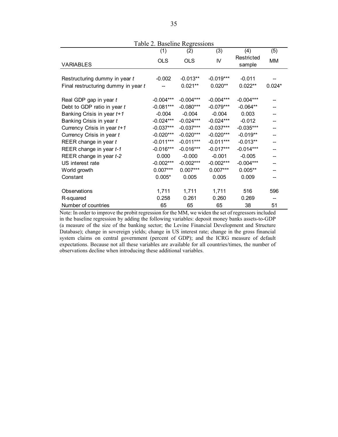|                                     | (1)         | (2)         | (3)                   | (4)                  | (5)       |
|-------------------------------------|-------------|-------------|-----------------------|----------------------|-----------|
| <b>VARIABLES</b>                    | <b>OLS</b>  | <b>OLS</b>  | $\mathsf{N}\mathsf{}$ | Restricted<br>sample | <b>MM</b> |
|                                     |             |             |                       |                      |           |
| Restructuring dummy in year t       | $-0.002$    | $-0.013**$  | $-0.019***$           | $-0.011$             |           |
| Final restructuring dummy in year t |             | $0.021**$   | $0.020**$             | $0.022**$            | $0.024*$  |
| Real GDP gap in year t              | $-0.004***$ | $-0.004***$ | $-0.004***$           | $-0.004***$          |           |
| Debt to GDP ratio in year t         | $-0.081***$ | $-0.080***$ | $-0.079***$           | $-0.064**$           |           |
| Banking Crisis in year t+1          | $-0.004$    | $-0.004$    | $-0.004$              | 0.003                | --        |
| Banking Crisis in year t            | $-0.024***$ | $-0.024***$ | $-0.024***$           | $-0.012$             |           |
| Currency Crisis in year t+1         | $-0.037***$ | $-0.037***$ | $-0.037***$           | $-0.035***$          |           |
| Currency Crisis in year t           | $-0.020***$ | $-0.020***$ | $-0.020***$           | $-0.019**$           |           |
| REER change in year t               | $-0.011***$ | $-0.011***$ | $-0.011***$           | $-0.013**$           |           |
| REER change in year t-1             | $-0.016***$ | $-0.016***$ | $-0.017***$           | $-0.014***$          |           |
| REER change in year t-2             | 0.000       | $-0.000$    | $-0.001$              | $-0.005$             |           |
| US interest rate                    | $-0.002***$ | $-0.002***$ | $-0.002***$           | $-0.004***$          |           |
| World growth                        | $0.007***$  | $0.007***$  | $0.007***$            | $0.005**$            |           |
| Constant                            | $0.005*$    | 0.005       | 0.005                 | 0.009                |           |
| Observations                        | 1,711       | 1,711       | 1,711                 | 516                  | 596       |
| R-squared                           | 0.258       | 0.261       | 0.260                 | 0.269                | --        |
| Number of countries                 | 65          | 65          | 65                    | 38                   | 51        |

Table 2. Baseline Regressions

Note: In order to improve the probit regression for the MM, we widen the set of regressors included in the baseline regression by adding the following variables: deposit money banks assets-to-GDP (a measure of the size of the banking sector; the Levine Financial Development and Structure Database); change in sovereign yields; change in US interest rate; change in the gross financial system claims on central government (percent of GDP); and the ICRG measure of default expectations. Because not all these variables are available for all countries/times, the number of observations decline when introducing these additional variables.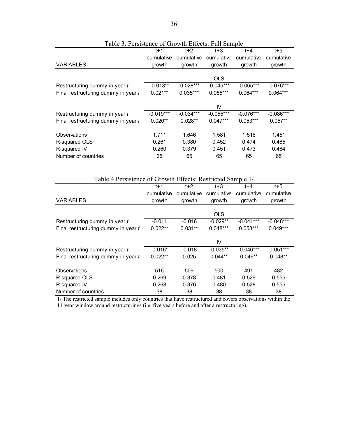|                                     | $t+1$       | $t+2$       | $t + 3$     | $t + 4$     | $t + 5$     |
|-------------------------------------|-------------|-------------|-------------|-------------|-------------|
|                                     | cumulative  | cumulative  | cumulative  | cumulative  | cumulative  |
| <b>VARIABLES</b>                    | growth      | growth      | growth      | growth      | growth      |
|                                     |             |             |             |             |             |
|                                     |             |             | <b>OLS</b>  |             |             |
| Restructuring dummy in year t       | $-0.013**$  | $-0.028***$ | $-0.045***$ | $-0.065***$ | $-0.076***$ |
| Final restructuring dummy in year t | $0.021**$   | $0.035***$  | $0.055***$  | $0.064***$  | $0.064***$  |
|                                     |             |             |             |             |             |
|                                     |             |             | IV          |             |             |
| Restructuring dummy in year t       | $-0.019***$ | $-0.034***$ | $-0.055***$ | $-0.076***$ | $-0.086***$ |
| Final restructuring dummy in year t | $0.020**$   | $0.028**$   | $0.047***$  | $0.053***$  | $0.057**$   |
|                                     |             |             |             |             |             |
| Observations                        | 1,711       | 1,646       | 1,581       | 1,516       | 1,451       |
| R-squared OLS                       | 0.261       | 0.380       | 0.452       | 0.474       | 0.465       |
| R-squared IV                        | 0.260       | 0.379       | 0.451       | 0.473       | 0.464       |
| Number of countries                 | 65          | 65          | 65          | 65          | 65          |

Table 3. Persistence of Growth Effects: Full Sample

| Table 4. Persistence of Growth Effects: Restricted Sample 1/ |            |            |            |             |             |  |
|--------------------------------------------------------------|------------|------------|------------|-------------|-------------|--|
|                                                              | $t+1$      | $t+2$      | $t + 3$    | t+4         | $t+5$       |  |
|                                                              | cumulative | cumulative | cumulative | cumulative  | cumulative  |  |
| <b>VARIABLES</b>                                             | growth     | growth     | growth     | growth      | growth      |  |
|                                                              |            |            |            |             |             |  |
|                                                              |            |            | <b>OLS</b> |             |             |  |
| Restructuring dummy in year t                                | $-0.011$   | $-0.016$   | $-0.029**$ | $-0.041***$ | $-0.048***$ |  |
| Final restructuring dummy in year t                          | $0.022**$  | $0.031**$  | $0.048***$ | $0.053***$  | $0.049***$  |  |
|                                                              |            |            |            |             |             |  |
|                                                              |            |            | IV         |             |             |  |
| Restructuring dummy in year t                                | $-0.016*$  | $-0.018$   | $-0.035**$ | $-0.046***$ | $-0.051***$ |  |
| Final restructuring dummy in year t                          | $0.022**$  | 0.025      | $0.044**$  | $0.046**$   | $0.048**$   |  |
|                                                              |            |            |            |             |             |  |
| Observations                                                 | 516        | 509        | 500        | 491         | 482         |  |
| R-squared OLS                                                | 0.269      | 0.378      | 0.481      | 0.529       | 0.555       |  |
| R-squared IV                                                 | 0.268      | 0.376      | 0.480      | 0.528       | 0.555       |  |
| Number of countries                                          | 38         | 38         | 38         | 38          | 38          |  |

1/ The restricted sample includes only countries that have restructured and covers observations within the

11-year window around restructurings (i.e. five years before and after a restructuring).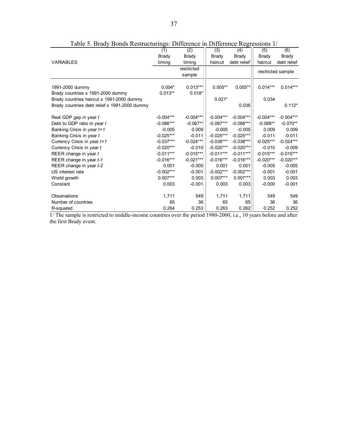|                                               | ೦<br>(1)     | (2)          | (3)          | (4)          | (5)          | (6)               |
|-----------------------------------------------|--------------|--------------|--------------|--------------|--------------|-------------------|
|                                               | <b>Brady</b> | <b>Brady</b> | <b>Brady</b> | <b>Brady</b> | <b>Brady</b> | <b>Brady</b>      |
| <b>VARIABLES</b>                              | timing       | timing       | haircut      | debt relief  | haircut      | debt relief       |
|                                               |              | restricted   |              |              |              |                   |
|                                               |              | sample       |              |              |              | restricted sample |
|                                               |              |              |              |              |              |                   |
| 1991-2000 dummy                               | $0.004*$     | $0.013***$   | $0.005**$    | $0.005**$    | $0.014***$   | $0.014***$        |
| Brady countries x 1991-2000 dummy             | $0.013**$    | $0.018*$     |              |              |              |                   |
| Brady countries haircut x 1991-2000 dummy     |              |              | $0.021*$     |              | 0.034        |                   |
| Brady countries debt relief x 1991-2000 dummy |              |              |              | 0.036        |              | $0.112*$          |
| Real GDP gap in year t                        | $-0.004***$  | $-0.004***$  | $-0.004***$  | $-0.004***$  | $-0.004***$  | $-0.004***$       |
| Debt to GDP ratio in year t                   | $-0.086***$  | $-0.067**$   | $-0.087***$  | $-0.088***$  | $-0.068**$   | $-0.070**$        |
| Banking Crisis in year t+1                    | $-0.005$     | 0.009        | $-0.005$     | $-0.005$     | 0.009        | 0.009             |
| Banking Crisis in year t                      | $-0.025***$  | $-0.011$     | $-0.025***$  | $-0.025***$  | $-0.011$     | $-0.011$          |
| Currency Crisis in year t+1                   | $-0.037***$  | $-0.024***$  | $-0.038***$  | $-0.038***$  | $-0.025***$  | $-0.024***$       |
| Currency Crisis in year t                     | $-0.020***$  | $-0.010$     | $-0.020***$  | $-0.020***$  | $-0.010$     | $-0.009$          |
| REER change in year t                         | $-0.011***$  | $-0.015***$  | $-0.011***$  | $-0.011***$  | $-0.015***$  | $-0.015***$       |
| REER change in year t-1                       | $-0.016***$  | $-0.021***$  | $-0.016***$  | $-0.016***$  | $-0.020***$  | $-0.020***$       |
| REER change in year t-2                       | 0.001        | $-0.005$     | 0.001        | 0.001        | $-0.005$     | $-0.005$          |
| US interest rate                              | $-0.002***$  | $-0.001$     | $-0.002***$  | $-0.002***$  | $-0.001$     | $-0.001$          |
| World growth                                  | $0.007***$   | 0.003        | $0.007***$   | $0.007***$   | 0.003        | 0.003             |
| Constant                                      | 0.003        | $-0.001$     | 0.003        | 0.003        | $-0.000$     | $-0.001$          |
| Observations                                  | 1,711        | 549          | 1,711        | 1,711        | 549          | 549               |
| Number of countries                           | 65           | 36           | 65           | 65           | 36           | 36                |
| R-squared                                     | 0.264        | 0.253        | 0.263        | 0.262        | 0.252        | 0.252             |
|                                               |              |              |              |              |              |                   |

Table 5. Brady Bonds Restructurings: Difference in Difference Regressions 1/

1/ The sample is restricted to middle-income countries over the period 1980-2000, i.e., 10 years before and after the first Brady event.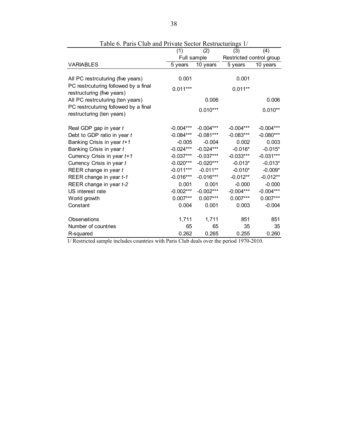|                                                                    | (1)         | (2)         | (3)                      | (4)         |
|--------------------------------------------------------------------|-------------|-------------|--------------------------|-------------|
|                                                                    | Full sample |             | Restricted control group |             |
| <b>VARIABLES</b>                                                   | 5 years     | 10 years    | 5 years                  | 10 years    |
|                                                                    |             |             |                          |             |
| All PC restrcuturing (five years)                                  | 0.001       |             | 0.001                    |             |
| PC restrcuturing followed by a final<br>restructuring (five years) | $0.011***$  |             | $0.011**$                |             |
| All PC restrcuturing (ten years)                                   |             | 0.006       |                          | 0.006       |
| PC restrcuturing followed by a final<br>restructuring (ten years)  |             | $0.010***$  |                          | $0.010**$   |
| Real GDP gap in year t                                             | $-0.004***$ | $-0.004***$ | $-0.004***$              | $-0.004***$ |
| Debt to GDP ratio in year t                                        | $-0.084***$ | $-0.081***$ | $-0.083***$              | $-0.080***$ |
| Banking Crisis in year t+1                                         | $-0.005$    | $-0.004$    | 0.002                    | 0.003       |
| Banking Crisis in year t                                           | $-0.024***$ | $-0.024***$ | $-0.016*$                | $-0.015*$   |
| Currency Crisis in year t+1                                        | $-0.037***$ | $-0.037***$ | $-0.033***$              | $-0.031***$ |
| Currency Crisis in year t                                          | $-0.020***$ | $-0.020***$ | $-0.013*$                | $-0.013*$   |
| REER change in year t                                              | $-0.011***$ | $-0.011**$  | $-0.010*$                | $-0.009*$   |
| REER change in year t-1                                            | $-0.016***$ | $-0.016***$ | $-0.012**$               | $-0.012**$  |
| REER change in year t-2                                            | 0.001       | 0.001       | $-0.000$                 | $-0.000$    |
| US interest rate                                                   | $-0.002***$ | $-0.002***$ | $-0.004***$              | $-0.004***$ |
| World growth                                                       | $0.007***$  | $0.007***$  | $0.007***$               | $0.007***$  |
| Constant                                                           | 0.004       | 0.001       | 0.003                    | $-0.004$    |
| Observations                                                       | 1,711       | 1,711       | 851                      | 851         |
| Number of countries                                                | 65          | 65          | 35                       | 35          |
| R-squared                                                          | 0.262       | 0.265       | 0.255                    | 0.260       |

Table 6. Paris Club and Private Sector Restructurings 1/

1/ Restricted sample includes countries with Paris Club deals over the period 1970-2010.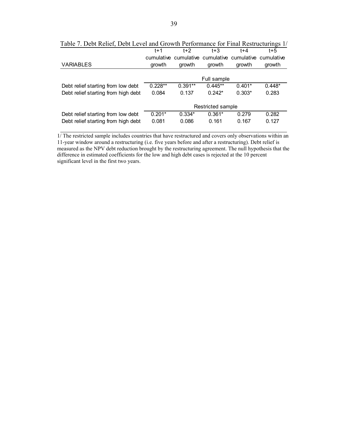|                                     | t+1               | $t+2$     | $t + 3$                                                | $t + 4$  | $t + 5$  |  |
|-------------------------------------|-------------------|-----------|--------------------------------------------------------|----------|----------|--|
|                                     |                   |           | cumulative cumulative cumulative cumulative cumulative |          |          |  |
| <b>VARIABLES</b>                    | growth            | growth    | arowth                                                 | growth   | growth   |  |
|                                     |                   |           |                                                        |          |          |  |
|                                     | Full sample       |           |                                                        |          |          |  |
| Debt relief starting from low debt  | $0.228**$         | $0.391**$ | $0.445**$                                              | $0.401*$ | $0.448*$ |  |
| Debt relief starting from high debt | 0.084             | 0.137     | $0.242*$                                               | $0.303*$ | 0.283    |  |
|                                     | Restricted sample |           |                                                        |          |          |  |
| Debt relief starting from low debt  | $0.201*$          | $0.334*$  | $0.361*$                                               | 0.279    | 0.282    |  |
| Debt relief starting from high debt | 0.081             | 0.086     | 0.161                                                  | 0.167    | 0.127    |  |

Table 7. Debt Relief, Debt Level and Growth Performance for Final Restructurings 1/

1/ The restricted sample includes countries that have restructured and covers only observations within an 11-year window around a restructuring (i.e. five years before and after a restructuring). Debt relief is measured as the NPV debt reduction brought by the restructuring agreement. The null hypothesis that the difference in estimated coefficients for the low and high debt cases is rejected at the 10 percent significant level in the first two years.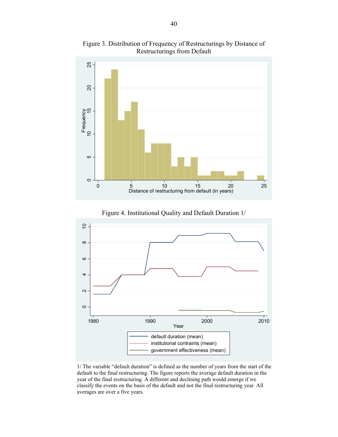

Figure 3. Distribution of Frequency of Restructurings by Distance of Restructurings from Default

Figure 4. Institutional Quality and Default Duration 1/



1/ The variable "default duration" is defined as the number of years from the start of the default to the final restructuring. The figure reports the average default duration in the year of the final restructuring. A different and declining path would emerge if we classify the events on the basis of the default and not the final restructuring year. All averages are over a five years.